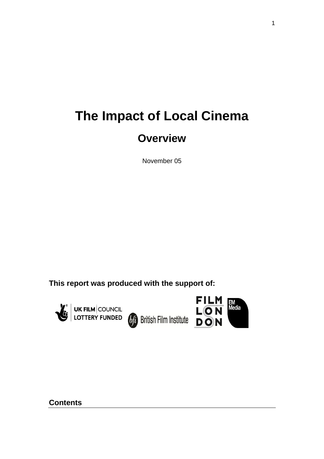# **The Impact of Local Cinema**

## **Overview**

November 05

**This report was produced with the support of:**



**EXAMPLE STATES COUNCIL COUNCIL EXAMPLE ON British Film Institute DON** 



**FILM** EM<br>Media

**Contents**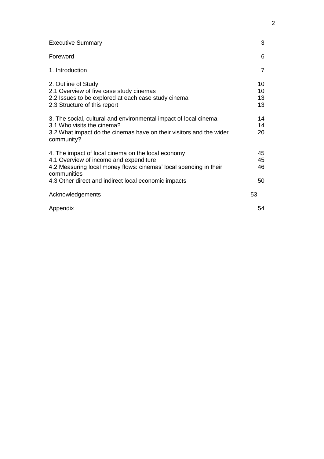| <b>Executive Summary</b>                                                                                                                                                                                                                 | 3                    |
|------------------------------------------------------------------------------------------------------------------------------------------------------------------------------------------------------------------------------------------|----------------------|
| Foreword                                                                                                                                                                                                                                 | 6                    |
| 1. Introduction                                                                                                                                                                                                                          | $\overline{7}$       |
| 2. Outline of Study<br>2.1 Overview of five case study cinemas<br>2.2 Issues to be explored at each case study cinema<br>2.3 Structure of this report                                                                                    | 10<br>10<br>13<br>13 |
| 3. The social, cultural and environmental impact of local cinema<br>3.1 Who visits the cinema?<br>3.2 What impact do the cinemas have on their visitors and the wider<br>community?                                                      | 14<br>14<br>20       |
| 4. The impact of local cinema on the local economy<br>4.1 Overview of income and expenditure<br>4.2 Measuring local money flows: cinemas' local spending in their<br>communities<br>4.3 Other direct and indirect local economic impacts | 45<br>45<br>46<br>50 |
| Acknowledgements                                                                                                                                                                                                                         | 53                   |
| Appendix                                                                                                                                                                                                                                 | 54                   |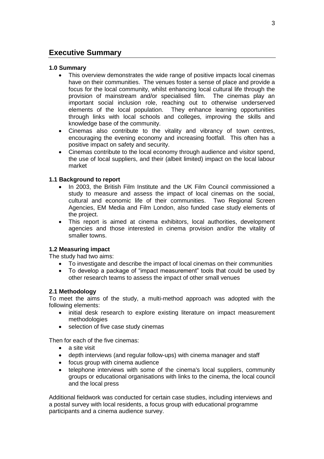## **Executive Summary**

#### **1.0 Summary**

- This overview demonstrates the wide range of positive impacts local cinemas have on their communities. The venues foster a sense of place and provide a focus for the local community, whilst enhancing local cultural life through the provision of mainstream and/or specialised film. The cinemas play an important social inclusion role, reaching out to otherwise underserved elements of the local population. They enhance learning opportunities through links with local schools and colleges, improving the skills and knowledge base of the community.
- Cinemas also contribute to the vitality and vibrancy of town centres, encouraging the evening economy and increasing footfall. This often has a positive impact on safety and security.
- Cinemas contribute to the local economy through audience and visitor spend, the use of local suppliers, and their (albeit limited) impact on the local labour market

#### **1.1 Background to report**

- In 2003, the British Film Institute and the UK Film Council commissioned a study to measure and assess the impact of local cinemas on the social, cultural and economic life of their communities. Two Regional Screen Agencies, EM Media and Film London, also funded case study elements of the project.
- This report is aimed at cinema exhibitors, local authorities, development agencies and those interested in cinema provision and/or the vitality of smaller towns.

#### **1.2 Measuring impact**

The study had two aims:

- To investigate and describe the impact of local cinemas on their communities
- To develop a package of "impact measurement" tools that could be used by other research teams to assess the impact of other small venues

#### **2.1 Methodology**

To meet the aims of the study, a multi-method approach was adopted with the following elements:

- initial desk research to explore existing literature on impact measurement methodologies
- selection of five case study cinemas

Then for each of the five cinemas:

- a site visit
- depth interviews (and regular follow-ups) with cinema manager and staff
- focus group with cinema audience
- telephone interviews with some of the cinema's local suppliers, community groups or educational organisations with links to the cinema, the local council and the local press

Additional fieldwork was conducted for certain case studies, including interviews and a postal survey with local residents, a focus group with educational programme participants and a cinema audience survey.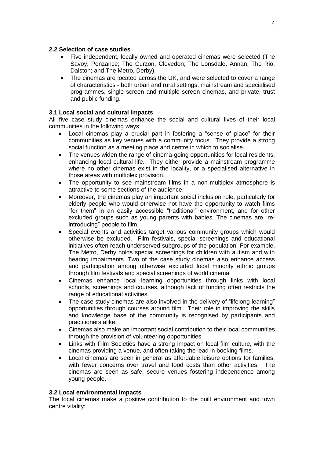#### **2.2 Selection of case studies**

- Five independent, locally owned and operated cinemas were selected (The Savoy, Penzance; The Curzon, Clevedon; The Lonsdale, Annan; The Rio, Dalston; and The Metro, Derby).
- The cinemas are located across the UK, and were selected to cover a range of characteristics - both urban and rural settings, mainstream and specialised programmes, single screen and multiple screen cinemas, and private, trust and public funding.

#### **3.1 Local social and cultural impacts**

All five case study cinemas enhance the social and cultural lives of their local communities in the following ways:

- Local cinemas play a crucial part in fostering a "sense of place" for their communities as key venues with a community focus. They provide a strong social function as a meeting place and centre in which to socialise.
- The venues widen the range of cinema-going opportunities for local residents, enhancing local cultural life. They either provide a mainstream programme where no other cinemas exist in the locality, or a specialised alternative in those areas with multiplex provision.
- The opportunity to see mainstream films in a non-multiplex atmosphere is attractive to some sections of the audience.
- Moreover, the cinemas play an important social inclusion role, particularly for elderly people who would otherwise not have the opportunity to watch films "for them" in an easily accessible "traditional" environment, and for other excluded groups such as young parents with babies. The cinemas are "reintroducing" people to film.
- Special events and activities target various community groups which would otherwise be excluded. Film festivals, special screenings and educational initiatives often reach underserved subgroups of the population. For example, The Metro, Derby holds special screenings for children with autism and with hearing impairments. Two of the case study cinemas also enhance access and participation among otherwise excluded local minority ethnic groups through film festivals and special screenings of world cinema.
- Cinemas enhance local learning opportunities through links with local schools, screenings and courses, although lack of funding often restricts the range of educational activities.
- The case study cinemas are also involved in the delivery of "lifelong learning" opportunities through courses around film. Their role in improving the skills and knowledge base of the community is recognised by participants and practitioners alike.
- Cinemas also make an important social contribution to their local communities through the provision of volunteering opportunities.
- Links with Film Societies have a strong impact on local film culture, with the cinemas providing a venue, and often taking the lead in booking films.
- Local cinemas are seen in general as affordable leisure options for families, with fewer concerns over travel and food costs than other activities. The cinemas are seen as safe, secure venues fostering independence among young people.

#### **3.2 Local environmental impacts**

The local cinemas make a positive contribution to the built environment and town centre vitality: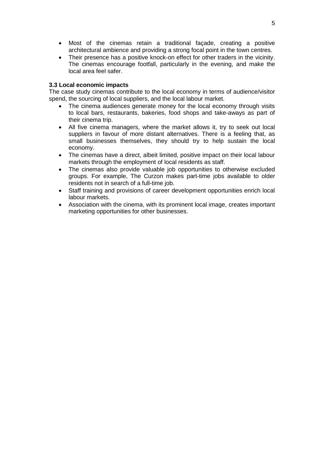- Most of the cinemas retain a traditional façade, creating a positive architectural ambience and providing a strong focal point in the town centres.
- Their presence has a positive knock-on effect for other traders in the vicinity. The cinemas encourage footfall, particularly in the evening, and make the local area feel safer.

#### **3.3 Local economic impacts**

The case study cinemas contribute to the local economy in terms of audience/visitor spend, the sourcing of local suppliers, and the local labour market.

- The cinema audiences generate money for the local economy through visits to local bars, restaurants, bakeries, food shops and take-aways as part of their cinema trip.
- All five cinema managers, where the market allows it, try to seek out local suppliers in favour of more distant alternatives. There is a feeling that, as small businesses themselves, they should try to help sustain the local economy.
- The cinemas have a direct, albeit limited, positive impact on their local labour markets through the employment of local residents as staff.
- The cinemas also provide valuable job opportunities to otherwise excluded groups. For example, The Curzon makes part-time jobs available to older residents not in search of a full-time job.
- Staff training and provisions of career development opportunities enrich local labour markets.
- Association with the cinema, with its prominent local image, creates important marketing opportunities for other businesses.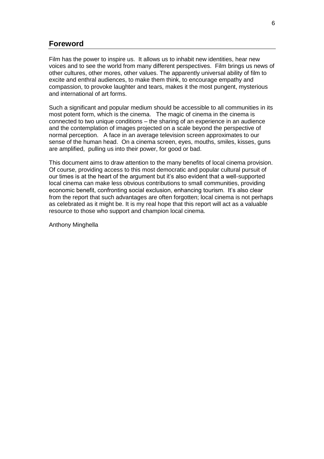## **Foreword**

Film has the power to inspire us. It allows us to inhabit new identities, hear new voices and to see the world from many different perspectives. Film brings us news of other cultures, other mores, other values. The apparently universal ability of film to excite and enthral audiences, to make them think, to encourage empathy and compassion, to provoke laughter and tears, makes it the most pungent, mysterious and international of art forms.

Such a significant and popular medium should be accessible to all communities in its most potent form, which is the cinema. The magic of cinema in the cinema is connected to two unique conditions – the sharing of an experience in an audience and the contemplation of images projected on a scale beyond the perspective of normal perception. A face in an average television screen approximates to our sense of the human head. On a cinema screen, eyes, mouths, smiles, kisses, guns are amplified, pulling us into their power, for good or bad.

This document aims to draw attention to the many benefits of local cinema provision. Of course, providing access to this most democratic and popular cultural pursuit of our times is at the heart of the argument but it's also evident that a well-supported local cinema can make less obvious contributions to small communities, providing economic benefit, confronting social exclusion, enhancing tourism. It's also clear from the report that such advantages are often forgotten; local cinema is not perhaps as celebrated as it might be. It is my real hope that this report will act as a valuable resource to those who support and champion local cinema.

Anthony Minghella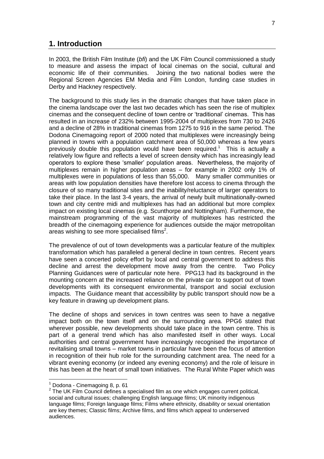## **1. Introduction**

In 2003, the British Film Institute (*bfi*) and the UK Film Council commissioned a study to measure and assess the impact of local cinemas on the social, cultural and economic life of their communities. Joining the two national bodies were the Regional Screen Agencies EM Media and Film London, funding case studies in Derby and Hackney respectively.

The background to this study lies in the dramatic changes that have taken place in the cinema landscape over the last two decades which has seen the rise of multiplex cinemas and the consequent decline of town centre or 'traditional' cinemas. This has resulted in an increase of 232% between 1995-2004 of multiplexes from 730 to 2426 and a decline of 28% in traditional cinemas from 1275 to 916 in the same period. The Dodona Cinemagoing report of 2000 noted that multiplexes were increasingly being planned in towns with a population catchment area of 50,000 whereas a few years previously double this population would have been required.<sup>1</sup> This is actually a relatively low figure and reflects a level of screen density which has increasingly lead operators to explore these 'smaller' population areas. Nevertheless, the majority of multiplexes remain in higher population areas – for example in 2002 only 1% of multiplexes were in populations of less than 55,000. Many smaller communities or areas with low population densities have therefore lost access to cinema through the closure of so many traditional sites and the inability/reluctance of larger operators to take their place. In the last 3-4 years, the arrival of newly built multinationally-owned town and city centre midi and multiplexes has had an additional but more complex impact on existing local cinemas (e.g. Scunthorpe and Nottingham). Furthermore, the mainstream programming of the vast majority of multiplexes has restricted the breadth of the cinemagoing experience for audiences outside the major metropolitan areas wishing to see more specialised films<sup>2</sup>.

The prevalence of out of town developments was a particular feature of the multiplex transformation which has paralleled a general decline in town centres. Recent years have seen a concerted policy effort by local and central government to address this decline and arrest the development move away from the centre. Two Policy Planning Guidances were of particular note here. PPG13 had its background in the mounting concern at the increased reliance on the private car to support out of town developments with its consequent environmental, transport and social exclusion impacts. The Guidance meant that accessibility by public transport should now be a key feature in drawing up development plans.

The decline of shops and services in town centres was seen to have a negative impact both on the town itself and on the surrounding area. PPG6 stated that wherever possible, new developments should take place in the town centre. This is part of a general trend which has also manifested itself in other ways. Local authorities and central government have increasingly recognised the importance of revitalising small towns – market towns in particular have been the focus of attention in recognition of their hub role for the surrounding catchment area. The need for a vibrant evening economy (or indeed any evening economy) and the role of leisure in this has been at the heart of small town initiatives. The Rural White Paper which was

 $\overline{a}$ 

 $<sup>1</sup>$  Dodona - Cinemagoing 8, p. 61</sup>

 $2$  The UK Film Council defines a specialised film as one which engages current political, social and cultural issues; challenging English language films; UK minority indigenous language films; Foreign language films; Films where ethnicity, disability or sexual orientation are key themes; Classic films; Archive films, and films which appeal to underserved audiences.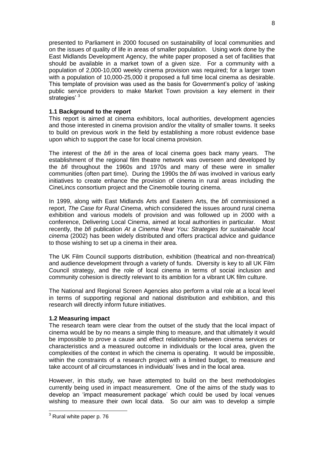presented to Parliament in 2000 focused on sustainability of local communities and on the issues of quality of life in areas of smaller population. Using work done by the East Midlands Development Agency, the white paper proposed a set of facilities that should be available in a market town of a given size. For a community with a population of 2,000-10,000 weekly cinema provision was required; for a larger town with a population of 10,000-25,000 it proposed a full time local cinema as desirable. This template of provision was used as the basis for Government's policy of 'asking public service providers to make Market Town provision a key element in their strategies' <sup>3</sup>

#### **1.1 Background to the report**

This report is aimed at cinema exhibitors, local authorities, development agencies and those interested in cinema provision and/or the vitality of smaller towns. It seeks to build on previous work in the field by establishing a more robust evidence base upon which to support the case for local cinema provision.

The interest of the *bfi* in the area of local cinema goes back many years. The establishment of the regional film theatre network was overseen and developed by the *bfi* throughout the 1960s and 1970s and many of these were in smaller communities (often part time). During the 1990s the *bfi* was involved in various early initiatives to create enhance the provision of cinema in rural areas including the CineLincs consortium project and the Cinemobile touring cinema.

In 1999, along with East Midlands Arts and Eastern Arts, the *bfi* commissioned a report, *The Case for Rural Cinema*, which considered the issues around rural cinema exhibition and various models of provision and was followed up in 2000 with a conference, Delivering Local Cinema, aimed at local authorities in particular. Most recently, the *bfi* publication *At a Cinema Near You: Strategies for sustainable local cinema* (2002) has been widely distributed and offers practical advice and guidance to those wishing to set up a cinema in their area.

The UK Film Council supports distribution, exhibition (theatrical and non-threatrical) and audience development through a variety of funds. Diversity is key to all UK Film Council strategy, and the role of local cinema in terms of social inclusion and community cohesion is directly relevant to its ambition for a vibrant UK film culture.

The National and Regional Screen Agencies also perform a vital role at a local level in terms of supporting regional and national distribution and exhibition, and this research will directly inform future initiatives.

#### **1.2 Measuring impact**

The research team were clear from the outset of the study that the local impact of cinema would be by no means a simple thing to measure, and that ultimately it would be impossible to *prove* a cause and effect relationship between cinema services or characteristics and a measured outcome in individuals or the local area, given the complexities of the context in which the cinema is operating. It would be impossible, within the constraints of a research project with a limited budget, to measure and take account of *all* circumstances in individuals' lives and in the local area.

However, in this study, we have attempted to build on the best methodologies currently being used in impact measurement. One of the aims of the study was to develop an 'impact measurement package' which could be used by local venues wishing to measure their own local data. So our aim was to develop a simple

-

 $3$  Rural white paper p. 76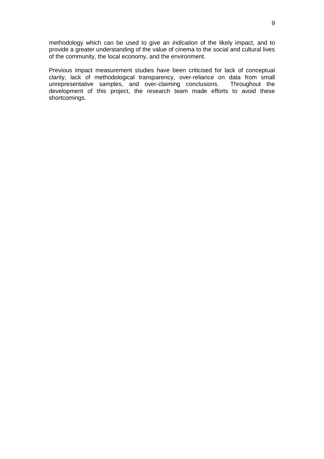methodology which can be used to give an *indication* of the likely impact, and to provide a greater understanding of the value of cinema to the social and cultural lives of the community, the local economy, and the environment.

Previous impact measurement studies have been criticised for lack of conceptual clarity, lack of methodological transparency, over-reliance on data from small unrepresentative samples, and over-claiming conclusions. Throughout the development of this project, the research team made efforts to avoid these shortcomings.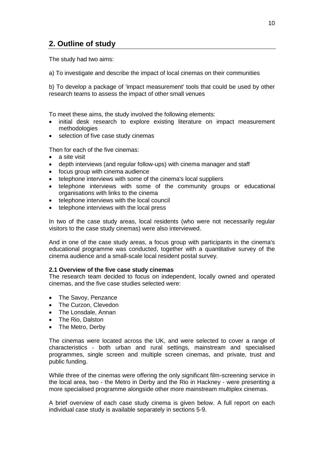## **2. Outline of study**

The study had two aims:

a) To investigate and describe the impact of local cinemas on their communities

b) To develop a package of 'impact measurement' tools that could be used by other research teams to assess the impact of other small venues

To meet these aims, the study involved the following elements:

- initial desk research to explore existing literature on impact measurement methodologies
- selection of five case study cinemas

Then for each of the five cinemas:

- a site visit
- depth interviews (and regular follow-ups) with cinema manager and staff
- focus group with cinema audience
- telephone interviews with some of the cinema's local suppliers
- telephone interviews with some of the community groups or educational organisations with links to the cinema
- telephone interviews with the local council
- telephone interviews with the local press

In two of the case study areas, local residents (who were not necessarily regular visitors to the case study cinemas) were also interviewed.

And in one of the case study areas, a focus group with participants in the cinema's educational programme was conducted, together with a quantitative survey of the cinema audience and a small-scale local resident postal survey.

#### **2.1 Overview of the five case study cinemas**

The research team decided to focus on independent, locally owned and operated cinemas, and the five case studies selected were:

- The Savoy, Penzance
- The Curzon, Clevedon
- The Lonsdale, Annan
- The Rio, Dalston
- The Metro, Derby

The cinemas were located across the UK, and were selected to cover a range of characteristics - both urban and rural settings, mainstream and specialised programmes, single screen and multiple screen cinemas, and private, trust and public funding.

While three of the cinemas were offering the only significant film-screening service in the local area, two - the Metro in Derby and the Rio in Hackney - were presenting a more specialised programme alongside other more mainstream multiplex cinemas.

A brief overview of each case study cinema is given below. A full report on each individual case study is available separately in sections 5-9.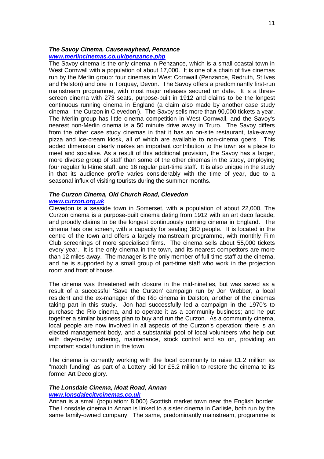#### *The Savoy Cinema, Causewayhead, Penzance [www.merlincinemas.co.uk/penzance.php](http://www.merlincinemas.co.uk/penzance.php)*

The Savoy cinema is the only cinema in Penzance, which is a small coastal town in West Cornwall with a population of about 17,000. It is one of a chain of five cinemas run by the Merlin group: four cinemas in West Cornwall (Penzance, Redruth, St Ives and Helston) and one in Torquay, Devon. The Savoy offers a predominantly first-run mainstream programme, with most major releases secured on date. It is a threescreen cinema with 273 seats, purpose-built in 1912 and claims to be the longest continuous running cinema in England (a claim also made by another case study cinema - the Curzon in Clevedon!). The Savoy sells more than 90,000 tickets a year. The Merlin group has little cinema competition in West Cornwall, and the Savoy's nearest non-Merlin cinema is a 50 minute drive away in Truro. The Savoy differs from the other case study cinemas in that it has an on-site restaurant, take-away pizza and ice-cream kiosk, all of which are available to non-cinema goers. This added dimension clearly makes an important contribution to the town as a place to meet and socialise. As a result of this additional provision, the Savoy has a larger, more diverse group of staff than some of the other cinemas in the study, employing four regular full-time staff, and 16 regular part-time staff. It is also unique in the study in that its audience profile varies considerably with the time of year, due to a seasonal influx of visiting tourists during the summer months.

#### *The Curzon Cinema, Old Church Road, Clevedon [www.curzon.org.uk](http://www.curzon.org.uk/)*

Clevedon is a seaside town in Somerset, with a population of about 22,000. The Curzon cinema is a purpose-built cinema dating from 1912 with an art deco facade, and proudly claims to be the longest continuously running cinema in England. The cinema has one screen, with a capacity for seating 380 people. It is located in the centre of the town and offers a largely mainstream programme, with monthly Film Club screenings of more specialised films. The cinema sells about 55,000 tickets every year. It is the only cinema in the town, and its nearest competitors are more than 12 miles away. The manager is the only member of full-time staff at the cinema, and he is supported by a small group of part-time staff who work in the projection room and front of house.

The cinema was threatened with closure in the mid-nineties, but was saved as a result of a successful 'Save the Curzon' campaign run by Jon Webber, a local resident and the ex-manager of the Rio cinema in Dalston, another of the cinemas taking part in this study. Jon had successfully led a campaign in the 1970's to purchase the Rio cinema, and to operate it as a community business; and he put together a similar business plan to buy and run the Curzon. As a community cinema, local people are now involved in all aspects of the Curzon's operation: there is an elected management body, and a substantial pool of local volunteers who help out with day-to-day ushering, maintenance, stock control and so on, providing an important social function in the town.

The cinema is currently working with the local community to raise  $£1.2$  million as "match funding" as part of a Lottery bid for £5.2 million to restore the cinema to its former Art Deco glory.

### *The Lonsdale Cinema, Moat Road, Annan*

#### *[www.lonsdalecitycinemas.co.uk](http://www.lonsdalecitycinemas.co.uk/)*

Annan is a small (population: 8,000) Scottish market town near the English border. The Lonsdale cinema in Annan is linked to a sister cinema in Carlisle, both run by the same family-owned company. The same, predominantly mainstream, programme is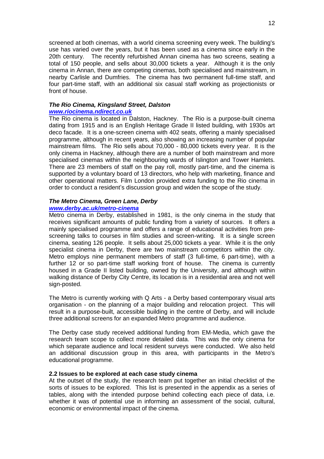screened at both cinemas, with a world cinema screening every week. The building's use has varied over the years, but it has been used as a cinema since early in the 20th century. The recently refurbished Annan cinema has two screens, seating a total of 150 people, and sells about 30,000 tickets a year. Although it is the only cinema in Annan, there are competing cinemas, both specialised and mainstream, in nearby Carlisle and Dumfries. The cinema has two permanent full-time staff, and four part-time staff, with an additional six casual staff working as projectionists or front of house.

#### *The Rio Cinema, Kingsland Street, Dalston [www.riocinema.ndirect.co.uk](http://www.riocinema.ndirect.co.uk/)*

The Rio cinema is located in Dalston, Hackney. The Rio is a purpose-built cinema dating from 1915 and is an English Heritage Grade II listed building, with 1930s art deco facade. It is a one-screen cinema with 402 seats, offering a mainly specialised programme, although in recent years, also showing an increasing number of popular mainstream films. The Rio sells about 70,000 - 80,000 tickets every year. It is the only cinema in Hackney, although there are a number of both mainstream and more specialised cinemas within the neighbouring wards of Islington and Tower Hamlets. There are 23 members of staff on the pay roll, mostly part-time, and the cinema is supported by a voluntary board of 13 directors, who help with marketing, finance and other operational matters. Film London provided extra funding to the Rio cinema in order to conduct a resident's discussion group and widen the scope of the study.

#### *The Metro Cinema, Green Lane, Derby*

#### *[www.derby.ac.uk/metro-cinema](http://www.derby.ac.uk/metro-cinema)*

Metro cinema in Derby, established in 1981, is the only cinema in the study that receives significant amounts of public funding from a variety of sources. It offers a mainly specialised programme and offers a range of educational activities from prescreening talks to courses in film studies and screen-writing. It is a single screen cinema, seating 126 people. It sells about 25,000 tickets a year. While it is the only specialist cinema in Derby, there are two mainstream competitors within the city. Metro employs nine permanent members of staff (3 full-time, 6 part-time), with a further 12 or so part-time staff working front of house. The cinema is currently housed in a Grade II listed building, owned by the University, and although within walking distance of Derby City Centre, its location is in a residential area and not well sign-posted.

The Metro is currently working with Q Arts - a Derby based contemporary visual arts organisation - on the planning of a major building and relocation project. This will result in a purpose-built, accessible building in the centre of Derby, and will include three additional screens for an expanded Metro programme and audience.

The Derby case study received additional funding from EM-Media, which gave the research team scope to collect more detailed data. This was the only cinema for which separate audience and local resident surveys were conducted. We also held an additional discussion group in this area, with participants in the Metro's educational programme.

#### **2.2 Issues to be explored at each case study cinema**

At the outset of the study, the research team put together an initial checklist of the sorts of issues to be explored. This list is presented in the appendix as a series of tables, along with the intended purpose behind collecting each piece of data, i.e. whether it was of potential use in informing an assessment of the social, cultural, economic or environmental impact of the cinema.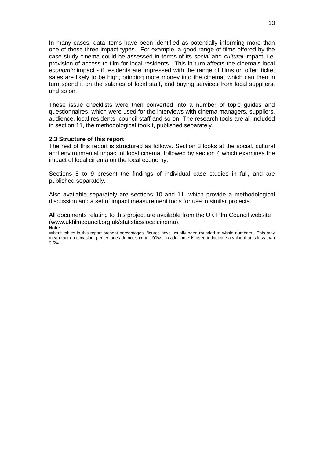In many cases, data items have been identified as potentially informing more than one of these three impact types. For example, a good range of films offered by the case study cinema could be assessed in terms of its *social* and *cultural* impact, i.e. provision of access to film for local residents. This in turn affects the cinema's local *economic* impact - if residents are impressed with the range of films on offer, ticket sales are likely to be high, bringing more money into the cinema, which can then in turn spend it on the salaries of local staff, and buying services from local suppliers, and so on.

These issue checklists were then converted into a number of topic guides and questionnaires, which were used for the interviews with cinema managers, suppliers, audience, local residents, council staff and so on. The research tools are all included in section 11, the methodological toolkit, published separately.

#### **2.3 Structure of this report**

The rest of this report is structured as follows. Section 3 looks at the social, cultural and environmental impact of local cinema, followed by section 4 which examines the impact of local cinema on the local economy.

Sections 5 to 9 present the findings of individual case studies in full, and are published separately.

Also available separately are sections 10 and 11, which provide a methodological discussion and a set of impact measurement tools for use in similar projects.

All documents relating to this project are available from the UK Film Council website (www.ukfilmcouncil.org.uk/statistics/localcinema).

**Note:**

Where tables in this report present percentages, figures have usually been rounded to whole numbers. This may mean that on occasion, percentages do not sum to 100%. In addition, \* is used to indicate a value that is less than 0.5%.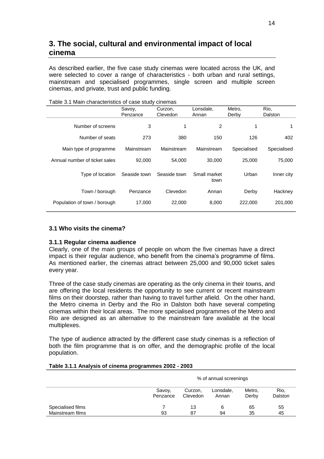## **3. The social, cultural and environmental impact of local cinema**

As described earlier, the five case study cinemas were located across the UK, and were selected to cover a range of characteristics - both urban and rural settings, mainstream and specialised programmes, single screen and multiple screen cinemas, and private, trust and public funding.

|                               | Savoy,<br>Penzance | Curzon,<br>Clevedon | Lonsdale,<br>Annan   | Metro,<br>Derby | Rio,<br>Dalston |
|-------------------------------|--------------------|---------------------|----------------------|-----------------|-----------------|
| Number of screens             | 3                  |                     | 2                    |                 | 1               |
| Number of seats               | 273                | 380                 | 150                  | 126             | 402             |
| Main type of programme        | Mainstream         | Mainstream          | Mainstream           | Specialised     | Specialised     |
| Annual number of ticket sales | 92,000             | 54.000              | 30,000               | 25,000          | 75,000          |
| Type of location              | Seaside town       | Seaside town        | Small market<br>town | Urban           | Inner city      |
| Town / borough                | Penzance           | Clevedon            | Annan                | Derby           | Hackney         |
| Population of town / borough  | 17.000             | 22,000              | 8.000                | 222,000         | 201.000         |

#### Table 3.1 Main characteristics of case study cinemas

#### **3.1 Who visits the cinema?**

#### **3.1.1 Regular cinema audience**

Clearly, one of the main groups of people on whom the five cinemas have a direct impact is their regular audience, who benefit from the cinema's programme of films. As mentioned earlier, the cinemas attract between 25,000 and 90,000 ticket sales every year.

Three of the case study cinemas are operating as the only cinema in their towns, and are offering the local residents the opportunity to see current or recent mainstream films on their doorstep, rather than having to travel further afield. On the other hand, the Metro cinema in Derby and the Rio in Dalston both have several competing cinemas within their local areas. The more specialised programmes of the Metro and Rio are designed as an alternative to the mainstream fare available at the local multiplexes.

The type of audience attracted by the different case study cinemas is a reflection of both the film programme that is on offer, and the demographic profile of the local population.

#### **Table 3.1.1 Analysis of cinema programmes 2002 - 2003**

|                   |                    | % of annual screenings |                    |                 |                 |  |  |  |
|-------------------|--------------------|------------------------|--------------------|-----------------|-----------------|--|--|--|
|                   | Savoy,<br>Penzance | Curzon.<br>Clevedon    | Lonsdale,<br>Annan | Metro,<br>Derby | Rio.<br>Dalston |  |  |  |
| Specialised films |                    | 13                     | 6                  | 65              | 55              |  |  |  |
| Mainstream films  | 93                 | 87                     | 94                 | 35              | 45              |  |  |  |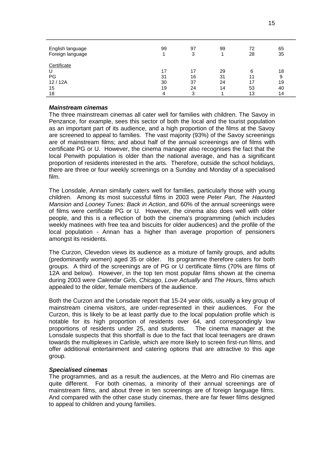| English language<br>Foreign language | 99 | 97<br>3 | 99 | 72<br>28 | 65<br>35 |
|--------------------------------------|----|---------|----|----------|----------|
| Certificate                          |    |         |    |          |          |
|                                      | 17 |         | 29 | 6        | 18       |
| PG                                   | 31 | 16      | 31 |          | 9        |
| 12/12A                               | 30 | 37      | 24 |          | 19       |
| 15                                   | 19 | 24      | 14 | 53       | 40       |
| 18                                   |    | 3       |    | 13       | 14       |

#### *Mainstream cinemas*

The three mainstream cinemas all cater well for families with children. The Savoy in Penzance, for example, sees this sector of both the local and the tourist population as an important part of its audience, and a high proportion of the films at the Savoy are screened to appeal to families. The vast majority (93%) of the Savoy screenings are of mainstream films; and about half of the annual screenings are of films with certificate PG or U. However, the cinema manager also recognises the fact that the local Penwith population is older than the national average, and has a significant proportion of residents interested in the arts. Therefore, outside the school holidays, there are three or four weekly screenings on a Sunday and Monday of a specialised film.

The Lonsdale, Annan similarly caters well for families, particularly those with young children. Among its most successful films in 2003 were *Peter Pan*, *The Haunted Mansion* and *Looney Tunes: Back in Action*, and 60% of the annual screenings were of films were certificate PG or U. However, the cinema also does well with older people, and this is a reflection of both the cinema's programming (which includes weekly matinees with free tea and biscuits for older audiences) and the profile of the local population - Annan has a higher than average proportion of pensioners amongst its residents.

The Curzon, Clevedon views its audience as a mixture of family groups, and adults (predominantly women) aged 35 or older. Its programme therefore caters for both groups. A third of the screenings are of PG or U certificate films (70% are films of 12A and below). However, in the top ten most popular films shown at the cinema during 2003 were *Calendar Girls*, *Chicago*, *Love Actually* and *The Hours*, films which appealed to the older, female members of the audience.

Both the Curzon and the Lonsdale report that 15-24 year olds, usually a key group of mainstream cinema visitors, are under-represented in their audiences. For the Curzon, this is likely to be at least partly due to the local population profile which is notable for its high proportion of residents over 64, and correspondingly low proportions of residents under 25, and students. The cinema manager at the Lonsdale suspects that this shortfall is due to the fact that local teenagers are drawn towards the multiplexes in Carlisle, which are more likely to screen first-run films, and offer additional entertainment and catering options that are attractive to this age group.

#### *Specialised cinemas*

The programmes, and as a result the audiences, at the Metro and Rio cinemas are quite different. For both cinemas, a minority of their annual screenings are of mainstream films, and about three in ten screenings are of foreign language films. And compared with the other case study cinemas, there are far fewer films designed to appeal to children and young families.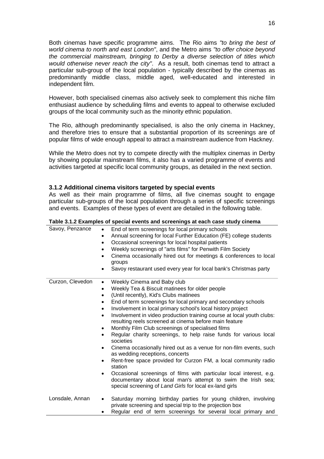Both cinemas have specific programme aims. The Rio aims *"to bring the best of world cinema to north and east London"*, and the Metro aims *"to offer choice beyond the commercial mainstream, bringing to Derby a diverse selection of titles which would otherwise never reach the city"*. As a result, both cinemas tend to attract a particular sub-group of the local population - typically described by the cinemas as predominantly middle class, middle aged, well-educated and interested in independent film.

However, both specialised cinemas also actively seek to complement this niche film enthusiast audience by scheduling films and events to appeal to otherwise excluded groups of the local community such as the minority ethnic population.

The Rio, although predominantly specialised, is also the only cinema in Hackney, and therefore tries to ensure that a substantial proportion of its screenings are of popular films of wide enough appeal to attract a mainstream audience from Hackney.

While the Metro does not try to compete directly with the multiplex cinemas in Derby by showing popular mainstream films, it also has a varied programme of events and activities targeted at specific local community groups, as detailed in the next section.

#### **3.1.2 Additional cinema visitors targeted by special events**

As well as their main programme of films, all five cinemas sought to engage particular sub-groups of the local population through a series of specific screenings and events. Examples of these types of event are detailed in the following table.

| Savoy, Penzance  | End of term screenings for local primary schools<br>$\bullet$<br>Annual screening for local Further Education (FE) college students<br>٠<br>Occasional screenings for local hospital patients<br>$\bullet$<br>Weekly screenings of "arts films" for Penwith Film Society<br>$\bullet$<br>Cinema occasionally hired out for meetings & conferences to local<br>$\bullet$<br>groups<br>Savoy restaurant used every year for local bank's Christmas party |
|------------------|--------------------------------------------------------------------------------------------------------------------------------------------------------------------------------------------------------------------------------------------------------------------------------------------------------------------------------------------------------------------------------------------------------------------------------------------------------|
| Curzon, Clevedon | Weekly Cinema and Baby club<br>$\bullet$                                                                                                                                                                                                                                                                                                                                                                                                               |
|                  | Weekly Tea & Biscuit matinees for older people<br>$\bullet$                                                                                                                                                                                                                                                                                                                                                                                            |
|                  | (Until recently), Kid's Clubs matinees<br>$\bullet$                                                                                                                                                                                                                                                                                                                                                                                                    |
|                  | End of term screenings for local primary and secondary schools<br>$\bullet$                                                                                                                                                                                                                                                                                                                                                                            |
|                  | Involvement in local primary school's local history project<br>$\bullet$                                                                                                                                                                                                                                                                                                                                                                               |
|                  | Involvement in video production training course at local youth clubs:<br>$\bullet$<br>resulting reels screened at cinema before main feature                                                                                                                                                                                                                                                                                                           |
|                  | Monthly Film Club screenings of specialised films<br>$\bullet$                                                                                                                                                                                                                                                                                                                                                                                         |
|                  | Regular charity screenings, to help raise funds for various local<br>$\bullet$<br>societies                                                                                                                                                                                                                                                                                                                                                            |
|                  | Cinema occasionally hired out as a venue for non-film events, such<br>$\bullet$<br>as wedding receptions, concerts                                                                                                                                                                                                                                                                                                                                     |
|                  | Rent-free space provided for Curzon FM, a local community radio<br>$\bullet$<br>station                                                                                                                                                                                                                                                                                                                                                                |
|                  | Occasional screenings of films with particular local interest, e.g.<br>$\bullet$<br>documentary about local man's attempt to swim the Irish sea;<br>special screening of Land Girls for local ex-land girls                                                                                                                                                                                                                                            |
| Lonsdale, Annan  | Saturday morning birthday parties for young children, involving<br>$\bullet$<br>private screening and special trip to the projection box                                                                                                                                                                                                                                                                                                               |
|                  | Regular end of term screenings for several local primary and<br>٠                                                                                                                                                                                                                                                                                                                                                                                      |

#### **Table 3.1.2 Examples of special events and screenings at each case study cinema**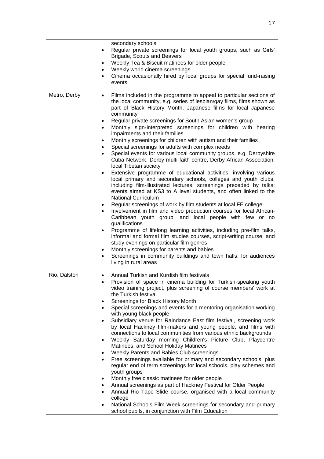secondary schools Regular private screenings for local youth groups, such as Girls' Brigade, Scouts and Beavers Weekly Tea & Biscuit matinees for older people Weekly world cinema screenings Cinema occasionally hired by local groups for special fund-raising events Metro, Derby • Films included in the programme to appeal to particular sections of the local community, e.g. series of lesbian/gay films, films shown as part of Black History Month, Japanese films for local Japanese community Regular private screenings for South Asian women's group Monthly sign-interpreted screenings for children with hearing impairments and their families Monthly screenings for children with autism and their families Special screenings for adults with complex needs Special events for various local community groups, e.g. Derbyshire Cuba Network, Derby multi-faith centre, Derby African Association, local Tibetan society Extensive programme of educational activities, involving various local primary and secondary schools, colleges and youth clubs, including film-illustrated lectures, screenings preceded by talks; events aimed at KS3 to A level students, and often linked to the National Curriculum Regular screenings of work by film students at local FE college Involvement in film and video production courses for local African-Caribbean youth group, and local people with few or no qualifications • Programme of lifelong learning activities, including pre-film talks, informal and formal film studies courses, script-writing course, and study evenings on particular film genres Monthly screenings for parents and babies Screenings in community buildings and town halls, for audiences living in rural areas Rio, Dalston • Annual Turkish and Kurdish film festivals Provision of space in cinema building for Turkish-speaking youth video training project, plus screening of course members' work at the Turkish festival Screenings for Black History Month Special screenings and events for a mentoring organisation working with young black people Subsidiary venue for Raindance East film festival, screening work by local Hackney film-makers and young people, and films with connections to local communities from various ethnic backgrounds Weekly Saturday morning Children's Picture Club, Playcentre Matinees, and School Holiday Matinees Weekly Parents and Babies Club screenings Free screenings available for primary and secondary schools, plus regular end of term screenings for local schools, play schemes and youth groups Monthly free classic matinees for older people Annual screenings as part of Hackney Festival for Older People Annual Rio Tape Slide course, organised with a local community college • National Schools Film Week screenings for secondary and primary school pupils, in conjunction with Film Education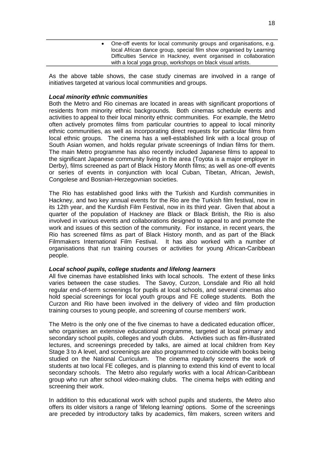| One-off events for local community groups and organisations, e.g.<br>local African dance group, special film show organised by Learning<br>Difficulties Service in Hackney, event organised in collaboration |
|--------------------------------------------------------------------------------------------------------------------------------------------------------------------------------------------------------------|
| with a local yoga group, workshops on black visual artists.                                                                                                                                                  |
|                                                                                                                                                                                                              |

As the above table shows, the case study cinemas are involved in a range of initiatives targeted at various local communities and groups.

#### *Local minority ethnic communities*

Both the Metro and Rio cinemas are located in areas with significant proportions of residents from minority ethnic backgrounds. Both cinemas schedule events and activities to appeal to their local minority ethnic communities. For example, the Metro often actively promotes films from particular countries to appeal to local minority ethnic communities, as well as incorporating direct requests for particular films from local ethnic groups. The cinema has a well-established link with a local group of South Asian women, and holds regular private screenings of Indian films for them. The main Metro programme has also recently included Japanese films to appeal to the significant Japanese community living in the area (Toyota is a major employer in Derby), films screened as part of Black History Month films; as well as one-off events or series of events in conjunction with local Cuban, Tibetan, African, Jewish, Congolese and Bosnian-Herzegovnian societies.

The Rio has established good links with the Turkish and Kurdish communities in Hackney, and two key annual events for the Rio are the Turkish film festival, now in its 12th year, and the Kurdish Film Festival, now in its third year. Given that about a quarter of the population of Hackney are Black or Black British, the Rio is also involved in various events and collaborations designed to appeal to and promote the work and issues of this section of the community. For instance, in recent years, the Rio has screened films as part of Black History month, and as part of the Black Filmmakers International Film Festival. It has also worked with a number of organisations that run training courses or activities for young African-Caribbean people.

#### *Local school pupils, college students and lifelong learners*

All five cinemas have established links with local schools. The extent of these links varies between the case studies. The Savoy, Curzon, Lonsdale and Rio all hold regular end-of-term screenings for pupils at local schools, and several cinemas also hold special screenings for local youth groups and FE college students. Both the Curzon and Rio have been involved in the delivery of video and film production training courses to young people, and screening of course members' work.

The Metro is the only one of the five cinemas to have a dedicated education officer, who organises an extensive educational programme, targeted at local primary and secondary school pupils, colleges and youth clubs. Activities such as film-illustrated lectures, and screenings preceded by talks, are aimed at local children from Key Stage 3 to A level, and screenings are also programmed to coincide with books being studied on the National Curriculum. The cinema regularly screens the work of students at two local FE colleges, and is planning to extend this kind of event to local secondary schools. The Metro also regularly works with a local African-Caribbean group who run after school video-making clubs. The cinema helps with editing and screening their work.

In addition to this educational work with school pupils and students, the Metro also offers its older visitors a range of 'lifelong learning' options. Some of the screenings are preceded by introductory talks by academics, film makers, screen writers and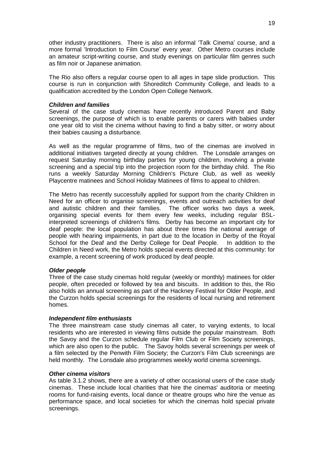other industry practitioners. There is also an informal 'Talk Cinema' course, and a more formal 'Introduction to Film Course' every year. Other Metro courses include an amateur script-writing course, and study evenings on particular film genres such as film noir or Japanese animation.

The Rio also offers a regular course open to all ages in tape slide production. This course is run in conjunction with Shoreditch Community College, and leads to a qualification accredited by the London Open College Network.

#### *Children and families*

Several of the case study cinemas have recently introduced Parent and Baby screenings, the purpose of which is to enable parents or carers with babies under one year old to visit the cinema without having to find a baby sitter, or worry about their babies causing a disturbance.

As well as the regular programme of films, two of the cinemas are involved in additional initiatives targeted directly at young children. The Lonsdale arranges on request Saturday morning birthday parties for young children, involving a private screening and a special trip into the projection room for the birthday child. The Rio runs a weekly Saturday Morning Children's Picture Club, as well as weekly Playcentre matinees and School Holiday Matinees of films to appeal to children.

The Metro has recently successfully applied for support from the charity Children in Need for an officer to organise screenings, events and outreach activities for deaf and autistic children and their families. The officer works two days a week, organising special events for them every few weeks, including regular BSLinterpreted screenings of children's films. Derby has become an important city for deaf people: the local population has about three times the national average of people with hearing impairments, in part due to the location in Derby of the Royal School for the Deaf and the Derby College for Deaf People. In addition to the Children in Need work, the Metro holds special events directed at this community: for example, a recent screening of work produced by deaf people.

#### *Older people*

Three of the case study cinemas hold regular (weekly or monthly) matinees for older people, often preceded or followed by tea and biscuits. In addition to this, the Rio also holds an annual screening as part of the Hackney Festival for Older People, and the Curzon holds special screenings for the residents of local nursing and retirement homes.

#### *Independent film enthusiasts*

The three mainstream case study cinemas all cater, to varying extents, to local residents who are interested in viewing films outside the popular mainstream. Both the Savoy and the Curzon schedule regular Film Club or Film Society screenings, which are also open to the public. The Savoy holds several screenings per week of a film selected by the Penwith Film Society; the Curzon's Film Club screenings are held monthly. The Lonsdale also programmes weekly world cinema screenings.

#### *Other cinema visitors*

As table 3.1.2 shows, there are a variety of other occasional users of the case study cinemas. These include local charities that hire the cinemas' auditoria or meeting rooms for fund-raising events, local dance or theatre groups who hire the venue as performance space, and local societies for which the cinemas hold special private screenings.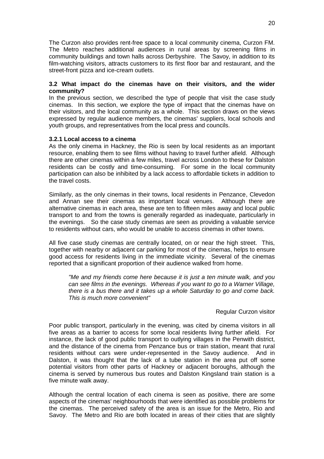The Curzon also provides rent-free space to a local community cinema, Curzon FM. The Metro reaches additional audiences in rural areas by screening films in community buildings and town halls across Derbyshire. The Savoy, in addition to its film-watching visitors, attracts customers to its first floor bar and restaurant, and the street-front pizza and ice-cream outlets.

#### **3.2 What impact do the cinemas have on their visitors, and the wider community?**

In the previous section, we described the type of people that visit the case study cinemas. In this section, we explore the type of impact that the cinemas have on their visitors, and the local community as a whole. This section draws on the views expressed by regular audience members, the cinemas' suppliers, local schools and youth groups, and representatives from the local press and councils.

#### **3.2.1 Local access to a cinema**

As the only cinema in Hackney, the Rio is seen by local residents as an important resource, enabling them to see films without having to travel further afield. Although there are other cinemas within a few miles, travel across London to these for Dalston residents can be costly and time-consuming. For some in the local community participation can also be inhibited by a lack access to affordable tickets in addition to the travel costs.

Similarly, as the only cinemas in their towns, local residents in Penzance, Clevedon and Annan see their cinemas as important local venues. Although there are alternative cinemas in each area, these are ten to fifteen miles away and local public transport to and from the towns is generally regarded as inadequate, particularly in the evenings. So the case study cinemas are seen as providing a valuable service to residents without cars, who would be unable to access cinemas in other towns.

All five case study cinemas are centrally located, on or near the high street. This, together with nearby or adjacent car parking for most of the cinemas, helps to ensure good access for residents living in the immediate vicinity. Several of the cinemas reported that a significant proportion of their audience walked from home.

*"Me and my friends come here because it is just a ten minute walk, and you can see films in the evenings. Whereas if you want to go to a Warner Village, there is a bus there and it takes up a whole Saturday to go and come back. This is much more convenient"*

#### Regular Curzon visitor

Poor public transport, particularly in the evening, was cited by cinema visitors in all five areas as a barrier to access for some local residents living further afield. For instance, the lack of good public transport to outlying villages in the Penwith district, and the distance of the cinema from Penzance bus or train station, meant that rural residents without cars were under-represented in the Savoy audience. And in Dalston, it was thought that the lack of a tube station in the area put off some potential visitors from other parts of Hackney or adjacent boroughs, although the cinema is served by numerous bus routes and Dalston Kingsland train station is a five minute walk away.

Although the central location of each cinema is seen as positive, there are some aspects of the cinemas' neighbourhoods that were identified as possible problems for the cinemas. The perceived safety of the area is an issue for the Metro, Rio and Savoy. The Metro and Rio are both located in areas of their cities that are slightly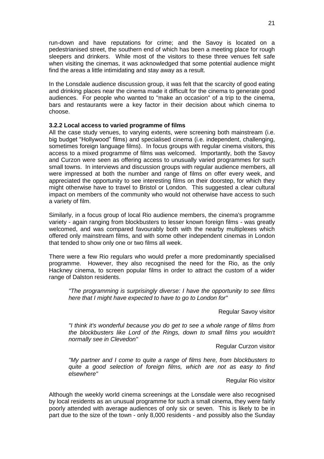run-down and have reputations for crime; and the Savoy is located on a pedestrianised street, the southern end of which has been a meeting place for rough sleepers and drinkers. While most of the visitors to these three venues felt safe when visiting the cinemas, it was acknowledged that some potential audience might find the areas a little intimidating and stay away as a result.

In the Lonsdale audience discussion group, it was felt that the scarcity of good eating and drinking places near the cinema made it difficult for the cinema to generate good audiences. For people who wanted to "make an occasion" of a trip to the cinema, bars and restaurants were a key factor in their decision about which cinema to choose.

#### **3.2.2 Local access to varied programme of films**

All the case study venues, to varying extents, were screening both mainstream (i.e. big budget "Hollywood" films) and specialised cinema (i.e. independent, challenging, sometimes foreign language films). In focus groups with regular cinema visitors, this access to a mixed programme of films was welcomed. Importantly, both the Savoy and Curzon were seen as offering access to unusually varied programmes for such small towns. In interviews and discussion groups with regular audience members, all were impressed at both the number and range of films on offer every week, and appreciated the opportunity to see interesting films on their doorstep, for which they might otherwise have to travel to Bristol or London. This suggested a clear cultural impact on members of the community who would not otherwise have access to such a variety of film.

Similarly, in a focus group of local Rio audience members, the cinema's programme variety - again ranging from blockbusters to lesser known foreign films - was greatly welcomed, and was compared favourably both with the nearby multiplexes which offered only mainstream films, and with some other independent cinemas in London that tended to show only one or two films all week.

There were a few Rio regulars who would prefer a more predominantly specialised programme. However, they also recognised the need for the Rio, as the only Hackney cinema, to screen popular films in order to attract the custom of a wider range of Dalston residents.

*"The programming is surprisingly diverse: I have the opportunity to see films here that I might have expected to have to go to London for"*

Regular Savoy visitor

*"I think it's wonderful because you do get to see a whole range of films from the blockbusters like Lord of the Rings, down to small films you wouldn't normally see in Clevedon"*

Regular Curzon visitor

*"My partner and I come to quite a range of films here, from blockbusters to quite a good selection of foreign films, which are not as easy to find elsewhere"*

Regular Rio visitor

Although the weekly world cinema screenings at the Lonsdale were also recognised by local residents as an unusual programme for such a small cinema, they were fairly poorly attended with average audiences of only six or seven. This is likely to be in part due to the size of the town - only 8,000 residents - and possibly also the Sunday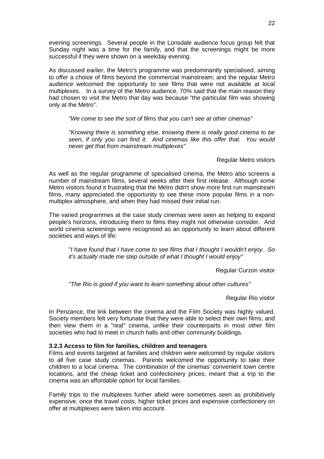evening screenings. Several people in the Lonsdale audience focus group felt that Sunday night was a time for the family, and that the screenings might be more successful if they were shown on a weekday evening.

As discussed earlier, the Metro's programme was predominantly specialised, aiming to offer a choice of films beyond the commercial mainstream; and the regular Metro audience welcomed the opportunity to see films that were not available at local multiplexes. In a survey of the Metro audience, 70% said that the main reason they had chosen to visit the Metro that day was because "the particular film was showing only at the Metro".

*"We come to see the sort of films that you can't see at other cinemas"*

*"Knowing there is something else, knowing there is really good cinema to be seen, if only you can find it. And cinemas like this offer that. You would never get that from mainstream multiplexes"*

Regular Metro visitors

As well as the regular programme of specialised cinema, the Metro also screens a number of mainstream films, several weeks after their first release. Although some Metro visitors found it frustrating that the Metro didn't show more first run mainstream films, many appreciated the opportunity to see these more popular films in a nonmultiplex atmosphere, and when they had missed their initial run.

The varied programmes at the case study cinemas were seen as helping to expand people's horizons, introducing them to films they might not otherwise consider. And world cinema screenings were recognised as an opportunity to learn about different societies and ways of life:

*"I have found that I have come to see films that I thought I wouldn't enjoy. So it's actually made me step outside of what I thought I would enjoy"*

Regular Curzon visitor

*"The Rio is good if you want to learn something about other cultures"*

Regular Rio visitor

In Penzance, the link between the cinema and the Film Society was highly valued. Society members felt very fortunate that they were able to select their own films, and then view them in a "real" cinema, unlike their counterparts in most other film societies who had to meet in church halls and other community buildings.

#### **3.2.3 Access to film for families, children and teenagers**

Films and events targeted at families and children were welcomed by regular visitors to all five case study cinemas. Parents welcomed the opportunity to take their children to a local cinema. The combination of the cinemas' convenient town centre locations, and the cheap ticket and confectionery prices, meant that a trip to the cinema was an affordable option for local families.

Family trips to the multiplexes further afield were sometimes seen as prohibitively expensive, once the travel costs, higher ticket prices and expensive confectionery on offer at multiplexes were taken into account.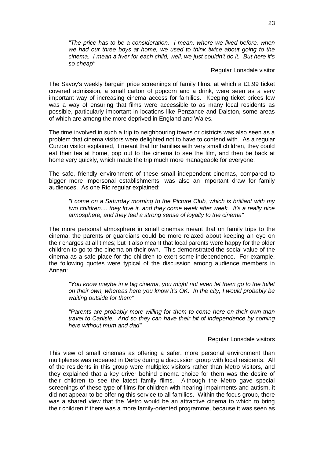*"The price has to be a consideration. I mean, where we lived before, when we had our three boys at home, we used to think twice about going to the cinema. I mean a fiver for each child, well, we just couldn't do it. But here it's so cheap"*

Regular Lonsdale visitor

The Savoy's weekly bargain price screenings of family films, at which a £1.99 ticket covered admission, a small carton of popcorn and a drink, were seen as a very important way of increasing cinema access for families. Keeping ticket prices low was a way of ensuring that films were accessible to as many local residents as possible, particularly important in locations like Penzance and Dalston, some areas of which are among the more deprived in England and Wales.

The time involved in such a trip to neighbouring towns or districts was also seen as a problem that cinema visitors were delighted not to have to contend with. As a regular Curzon visitor explained, it meant that for families with very small children, they could eat their tea at home, pop out to the cinema to see the film, and then be back at home very quickly, which made the trip much more manageable for everyone.

The safe, friendly environment of these small independent cinemas, compared to bigger more impersonal establishments, was also an important draw for family audiences. As one Rio regular explained:

*"I come on a Saturday morning to the Picture Club, which is brilliant with my two children.... they love it, and they come week after week. It's a really nice atmosphere, and they feel a strong sense of loyalty to the cinema"*

The more personal atmosphere in small cinemas meant that on family trips to the cinema, the parents or guardians could be more relaxed about keeping an eye on their charges at all times; but it also meant that local parents were happy for the older children to go to the cinema on their own. This demonstrated the social value of the cinema as a safe place for the children to exert some independence. For example, the following quotes were typical of the discussion among audience members in Annan:

*"You know maybe in a big cinema, you might not even let them go to the toilet on their own, whereas here you know it's OK. In the city, I would probably be waiting outside for them"*

*"Parents are probably more willing for them to come here on their own than travel to Carlisle. And so they can have their bit of independence by coming here without mum and dad"*

#### Regular Lonsdale visitors

This view of small cinemas as offering a safer, more personal environment than multiplexes was repeated in Derby during a discussion group with local residents. All of the residents in this group were multiplex visitors rather than Metro visitors, and they explained that a key driver behind cinema choice for them was the desire of their children to see the latest family films. Although the Metro gave special screenings of these type of films for children with hearing impairments and autism, it did not appear to be offering this service to all families. Within the focus group, there was a shared view that the Metro would be an attractive cinema to which to bring their children if there was a more family-oriented programme, because it was seen as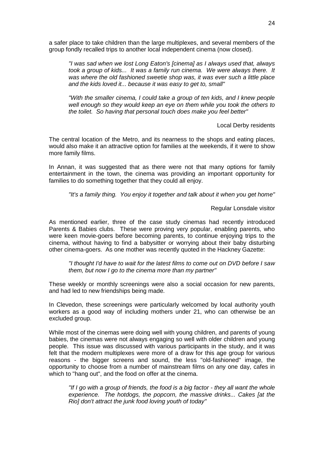a safer place to take children than the large multiplexes, and several members of the group fondly recalled trips to another local independent cinema (now closed).

*"I was sad when we lost Long Eaton's [cinema] as I always used that, always took a group of kids... It was a family run cinema. We were always there. It was where the old fashioned sweetie shop was, it was ever such a little place and the kids loved it... because it was easy to get to, small"*

*"With the smaller cinema, I could take a group of ten kids, and I knew people well enough so they would keep an eye on them while you took the others to the toilet. So having that personal touch does make you feel better"*

Local Derby residents

The central location of the Metro, and its nearness to the shops and eating places, would also make it an attractive option for families at the weekends, if it were to show more family films.

In Annan, it was suggested that as there were not that many options for family entertainment in the town, the cinema was providing an important opportunity for families to do something together that they could all enjoy.

*"It's a family thing. You enjoy it together and talk about it when you get home"*

Regular Lonsdale visitor

As mentioned earlier, three of the case study cinemas had recently introduced Parents & Babies clubs. These were proving very popular, enabling parents, who were keen movie-goers before becoming parents, to continue enjoying trips to the cinema, without having to find a babysitter or worrying about their baby disturbing other cinema-goers. As one mother was recently quoted in the Hackney Gazette:

*"I thought I'd have to wait for the latest films to come out on DVD before I saw them, but now I go to the cinema more than my partner"*

These weekly or monthly screenings were also a social occasion for new parents, and had led to new friendships being made.

In Clevedon, these screenings were particularly welcomed by local authority youth workers as a good way of including mothers under 21, who can otherwise be an excluded group.

While most of the cinemas were doing well with young children, and parents of young babies, the cinemas were not always engaging so well with older children and young people. This issue was discussed with various participants in the study, and it was felt that the modern multiplexes were more of a draw for this age group for various reasons - the bigger screens and sound, the less "old-fashioned" image, the opportunity to choose from a number of mainstream films on any one day, cafes in which to "hang out", and the food on offer at the cinema.

*"If I go with a group of friends, the food is a big factor - they all want the whole experience. The hotdogs, the popcorn, the massive drinks... Cakes [at the Rio] don't attract the junk food loving youth of today"*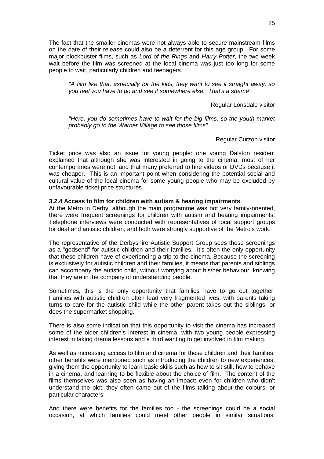The fact that the smaller cinemas were not always able to secure mainstream films on the date of their release could also be a deterrent for this age group. For some major blockbuster films, such as *Lord of the Rings* and *Harry Potter*, the two week wait before the film was screened at the local cinema was just too long for some people to wait, particularly children and teenagers.

*"A film like that, especially for the kids, they want to see it straight away, so you feel you have to go and see it somewhere else. That's a shame"*

Regular Lonsdale visitor

*"Here, you do sometimes have to wait for the big films, so the youth market probably go to the Warner Village to see those films"*

Regular Curzon visitor

Ticket price was also an issue for young people: one young Dalston resident explained that although she was interested in going to the cinema, most of her contemporaries were not, and that many preferred to hire videos or DVDs because it was cheaper. This is an important point when considering the potential social and cultural value of the local cinema for some young people who may be excluded by unfavourable ticket price structures.

#### **3.2.4 Access to film for children with autism & hearing impairments**

At the Metro in Derby, although the main programme was not very family-oriented, there were frequent screenings for children with autism and hearing impairments. Telephone interviews were conducted with representatives of local support groups for deaf and autistic children, and both were strongly supportive of the Metro's work.

The representative of the Derbyshire Autistic Support Group sees these screenings as a "godsend" for autistic children and their families. It's often the only opportunity that these children have of experiencing a trip to the cinema. Because the screening is exclusively for autistic children and their families, it means that parents and siblings can accompany the autistic child, without worrying about his/her behaviour, knowing that they are in the company of understanding people.

Sometimes, this is the only opportunity that families have to go out together. Families with autistic children often lead very fragmented lives, with parents taking turns to care for the autistic child while the other parent takes out the siblings, or does the supermarket shopping.

There is also some indication that this opportunity to visit the cinema has increased some of the older children's interest in cinema, with two young people expressing interest in taking drama lessons and a third wanting to get involved in film making.

As well as increasing access to film and cinema for these children and their families, other benefits were mentioned such as introducing the children to new experiences, giving them the opportunity to learn basic skills such as how to sit still, how to behave in a cinema, and learning to be flexible about the choice of film. The content of the films themselves was also seen as having an impact: even for children who didn't understand the plot, they often came out of the films talking about the colours, or particular characters.

And there were benefits for the families too - the screenings could be a social occasion, at which families could meet other people in similar situations,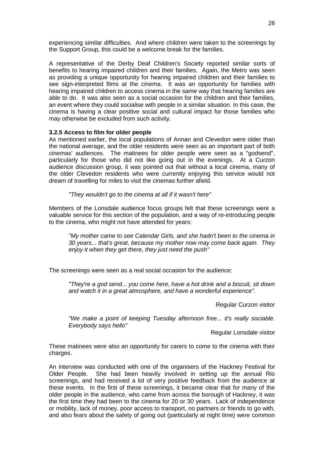experiencing similar difficulties. And where children were taken to the screenings by the Support Group, this could be a welcome break for the families.

A representative of the Derby Deaf Children's Society reported similar sorts of benefits to hearing impaired children and their families. Again, the Metro was seen as providing a unique opportunity for hearing impaired children and their families to see sign-interpreted films at the cinema. It was an opportunity for families with hearing impaired children to access cinema in the same way that hearing families are able to do. It was also seen as a social occasion for the children and their families, an event where they could socialise with people in a similar situation. In this case, the cinema is having a clear positive social and cultural impact for those families who may otherwise be excluded from such activity.

#### **3.2.5 Access to film for older people**

As mentioned earlier, the local populations of Annan and Clevedon were older than the national average, and the older residents were seen as an important part of both cinemas' audiences. The matinees for older people were seen as a "godsend", particularly for those who did not like going out in the evenings. At a Curzon audience discussion group, it was pointed out that without a local cinema, many of the older Clevedon residents who were currently enjoying this service would not dream of travelling for miles to visit the cinemas further afield.

*"They wouldn't go to the cinema at all if it wasn't here"*

Members of the Lonsdale audience focus groups felt that these screenings were a valuable service for this section of the population, and a way of re-introducing people to the cinema, who might not have attended for years:

*"My mother came to see Calendar Girls, and she hadn't been to the cinema in 30 years... that's great, because my mother now may come back again. They enjoy it when they get there, they just need the push"*

The screenings were seen as a real social occasion for the audience:

*"They're a god send... you come here, have a hot drink and a biscuit, sit down and watch it in a great atmosphere, and have a wonderful experience".*

Regular Curzon visitor

*"We make a point of keeping Tuesday afternoon free... it's really sociable. Everybody says hello"*

Regular Lonsdale visitor

These matinees were also an opportunity for carers to come to the cinema with their charges.

An interview was conducted with one of the organisers of the Hackney Festival for Older People. She had been heavily involved in setting up the annual Rio screenings, and had received a lot of very positive feedback from the audience at these events. In the first of these screenings, it became clear that for many of the older people in the audience, who came from across the borough of Hackney, it was the first time they had been to the cinema for 20 or 30 years. Lack of independence or mobility, lack of money, poor access to transport, no partners or friends to go with, and also fears about the safety of going out (particularly at night time) were common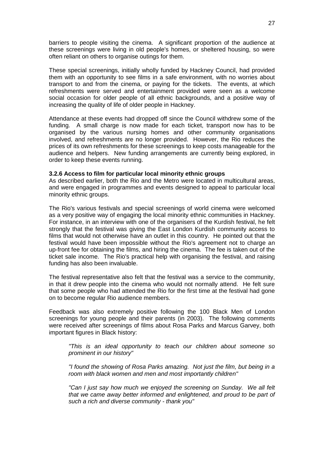barriers to people visiting the cinema. A significant proportion of the audience at these screenings were living in old people's homes, or sheltered housing, so were often reliant on others to organise outings for them.

These special screenings, initially wholly funded by Hackney Council, had provided them with an opportunity to see films in a safe environment, with no worries about transport to and from the cinema, or paying for the tickets. The events, at which refreshments were served and entertainment provided were seen as a welcome social occasion for older people of all ethnic backgrounds, and a positive way of increasing the quality of life of older people in Hackney.

Attendance at these events had dropped off since the Council withdrew some of the funding. A small charge is now made for each ticket, transport now has to be organised by the various nursing homes and other community organisations involved, and refreshments are no longer provided. However, the Rio reduces the prices of its own refreshments for these screenings to keep costs manageable for the audience and helpers. New funding arrangements are currently being explored, in order to keep these events running.

#### **3.2.6 Access to film for particular local minority ethnic groups**

As described earlier, both the Rio and the Metro were located in multicultural areas, and were engaged in programmes and events designed to appeal to particular local minority ethnic groups.

The Rio's various festivals and special screenings of world cinema were welcomed as a very positive way of engaging the local minority ethnic communities in Hackney. For instance, in an interview with one of the organisers of the Kurdish festival, he felt strongly that the festival was giving the East London Kurdish community access to films that would not otherwise have an outlet in this country. He pointed out that the festival would have been impossible without the Rio's agreement not to charge an up-front fee for obtaining the films, and hiring the cinema. The fee is taken out of the ticket sale income. The Rio's practical help with organising the festival, and raising funding has also been invaluable.

The festival representative also felt that the festival was a service to the community, in that it drew people into the cinema who would not normally attend. He felt sure that some people who had attended the Rio for the first time at the festival had gone on to become regular Rio audience members.

Feedback was also extremely positive following the 100 Black Men of London screenings for young people and their parents (in 2003). The following comments were received after screenings of films about Rosa Parks and Marcus Garvey, both important figures in Black history:

*"This is an ideal opportunity to teach our children about someone so prominent in our history"*

*"I found the showing of Rosa Parks amazing. Not just the film, but being in a room with black women and men and most importantly children"*

*"Can I just say how much we enjoyed the screening on Sunday. We all felt*  that we came away better informed and enlightened, and proud to be part of *such a rich and diverse community - thank you"*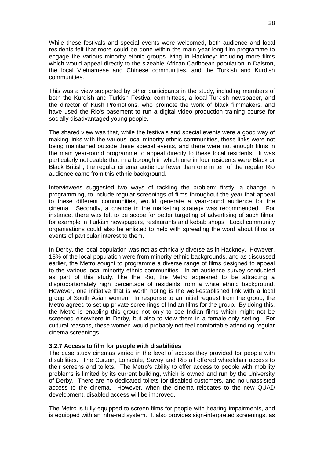While these festivals and special events were welcomed, both audience and local residents felt that more could be done within the main year-long film programme to engage the various minority ethnic groups living in Hackney: including more films which would appeal directly to the sizeable African-Caribbean population in Dalston, the local Vietnamese and Chinese communities, and the Turkish and Kurdish communities.

This was a view supported by other participants in the study, including members of both the Kurdish and Turkish Festival committees, a local Turkish newspaper, and the director of Kush Promotions, who promote the work of black filmmakers, and have used the Rio's basement to run a digital video production training course for socially disadvantaged young people.

The shared view was that, while the festivals and special events were a good way of making links with the various local minority ethnic communities, these links were not being maintained outside these special events, and there were not enough films in the main year-round programme to appeal directly to these local residents. It was particularly noticeable that in a borough in which one in four residents were Black or Black British, the regular cinema audience fewer than one in ten of the regular Rio audience came from this ethnic background.

Interviewees suggested two ways of tackling the problem: firstly, a change in programming, to include regular screenings of films throughout the year that appeal to these different communities, would generate a year-round audience for the cinema. Secondly, a change in the marketing strategy was recommended. For instance, there was felt to be scope for better targeting of advertising of such films, for example in Turkish newspapers, restaurants and kebab shops. Local community organisations could also be enlisted to help with spreading the word about films or events of particular interest to them.

In Derby, the local population was not as ethnically diverse as in Hackney. However, 13% of the local population were from minority ethnic backgrounds, and as discussed earlier, the Metro sought to programme a diverse range of films designed to appeal to the various local minority ethnic communities. In an audience survey conducted as part of this study, like the Rio, the Metro appeared to be attracting a disproportionately high percentage of residents from a white ethnic background. However, one initiative that is worth noting is the well-established link with a local group of South Asian women. In response to an initial request from the group, the Metro agreed to set up private screenings of Indian films for the group. By doing this, the Metro is enabling this group not only to see Indian films which might not be screened elsewhere in Derby, but also to view them in a female-only setting. For cultural reasons, these women would probably not feel comfortable attending regular cinema screenings.

#### **3.2.7 Access to film for people with disabilities**

The case study cinemas varied in the level of access they provided for people with disabilities. The Curzon, Lonsdale, Savoy and Rio all offered wheelchair access to their screens and toilets. The Metro's ability to offer access to people with mobility problems is limited by its current building, which is owned and run by the University of Derby. There are no dedicated toilets for disabled customers, and no unassisted access to the cinema. However, when the cinema relocates to the new QUAD development, disabled access will be improved.

The Metro is fully equipped to screen films for people with hearing impairments, and is equipped with an infra-red system. It also provides sign-interpreted screenings, as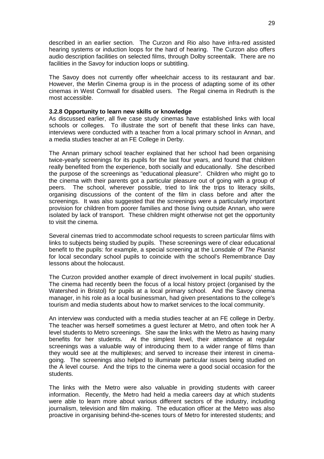described in an earlier section. The Curzon and Rio also have infra-red assisted hearing systems or induction loops for the hard of hearing. The Curzon also offers audio description facilities on selected films, through Dolby screentalk. There are no facilities in the Savoy for induction loops or subtitling.

The Savoy does not currently offer wheelchair access to its restaurant and bar. However, the Merlin Cinema group is in the process of adapting some of its other cinemas in West Cornwall for disabled users. The Regal cinema in Redruth is the most accessible.

#### **3.2.8 Opportunity to learn new skills or knowledge**

As discussed earlier, all five case study cinemas have established links with local schools or colleges. To illustrate the sort of benefit that these links can have, interviews were conducted with a teacher from a local primary school in Annan, and a media studies teacher at an FE College in Derby.

The Annan primary school teacher explained that her school had been organising twice-yearly screenings for its pupils for the last four years, and found that children really benefited from the experience, both socially and educationally. She described the purpose of the screenings as "educational pleasure". Children who might go to the cinema with their parents got a particular pleasure out of going with a group of peers. The school, wherever possible, tried to link the trips to literacy skills, organising discussions of the content of the film in class before and after the screenings. It was also suggested that the screenings were a particularly important provision for children from poorer families and those living outside Annan, who were isolated by lack of transport. These children might otherwise not get the opportunity to visit the cinema.

Several cinemas tried to accommodate school requests to screen particular films with links to subjects being studied by pupils. These screenings were of clear educational benefit to the pupils: for example, a special screening at the Lonsdale of *The Pianist* for local secondary school pupils to coincide with the school's Remembrance Day lessons about the holocaust.

The Curzon provided another example of direct involvement in local pupils' studies. The cinema had recently been the focus of a local history project (organised by the Watershed in Bristol) for pupils at a local primary school. And the Savoy cinema manager, in his role as a local businessman, had given presentations to the college's tourism and media students about how to market services to the local community.

An interview was conducted with a media studies teacher at an FE college in Derby. The teacher was herself sometimes a guest lecturer at Metro, and often took her A level students to Metro screenings. She saw the links with the Metro as having many benefits for her students. At the simplest level, their attendance at regular screenings was a valuable way of introducing them to a wider range of films than they would see at the multiplexes; and served to increase their interest in cinemagoing. The screenings also helped to illuminate particular issues being studied on the A level course. And the trips to the cinema were a good social occasion for the students.

The links with the Metro were also valuable in providing students with career information. Recently, the Metro had held a media careers day at which students were able to learn more about various different sectors of the industry, including journalism, television and film making. The education officer at the Metro was also proactive in organising behind-the-scenes tours of Metro for interested students; and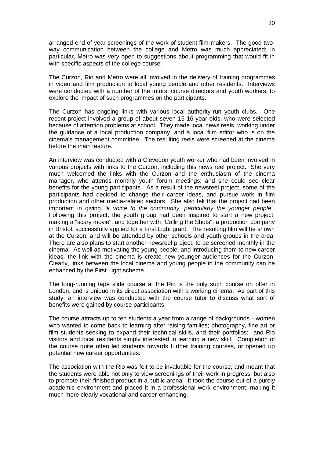arranged end of year screenings of the work of student film-makers. The good twoway communication between the college and Metro was much appreciated; in particular, Metro was very open to suggestions about programming that would fit in with specific aspects of the college course.

The Curzon, Rio and Metro were all involved in the delivery of training programmes in video and film production to local young people and other residents. Interviews were conducted with a number of the tutors, course directors and youth workers, to explore the impact of such programmes on the participants.

The Curzon has ongoing links with various local authority-run youth clubs. One recent project involved a group of about seven 15-16 year olds, who were selected because of attention problems at school. They made local news reels, working under the guidance of a local production company, and a local film editor who is on the cinema's management committee. The resulting reels were screened at the cinema before the main feature.

An interview was conducted with a Clevedon youth worker who had been involved in various projects with links to the Curzon, including this news reel project. She very much welcomed the links with the Curzon and the enthusiasm of the cinema manager, who attends monthly youth forum meetings; and she could see clear benefits for the young participants. As a result of the newsreel project, some of the participants had decided to change their career ideas, and pursue work in film production and other media-related sectors. She also felt that the project had been important in giving *"a voice to the community, particularly the younger people"*. Following this project, the youth group had been inspired to start a new project, making a "scary movie", and together with "Calling the Shots", a production company in Bristol, successfully applied for a First Light grant. The resulting film will be shown at the Curzon, and will be attended by other schools and youth groups in the area. There are also plans to start another newsreel project, to be screened monthly in the cinema. As well as motivating the young people, and introducing them to new career ideas, the link with the cinema is create new younger audiences for the Curzon. Clearly, links between the local cinema and young people in the community can be enhanced by the First Light scheme.

The long-running tape slide course at the Rio is the only such course on offer in London, and is unique in its direct association with a working cinema. As part of this study, an interview was conducted with the course tutor to discuss what sort of benefits were gained by course participants.

The course attracts up to ten students a year from a range of backgrounds - women who wanted to come back to learning after raising families; photography, fine art or film students seeking to expand their technical skills, and their portfolios; and Rio visitors and local residents simply interested in learning a new skill. Completion of the course quite often led students towards further training courses, or opened up potential new career opportunities.

The association with the Rio was felt to be invaluable for the course, and meant that the students were able not only to view screenings of their work in progress, but also to promote their finished product in a public arena. It took the course out of a purely academic environment and placed it in a professional work environment, making it much more clearly vocational and career-enhancing.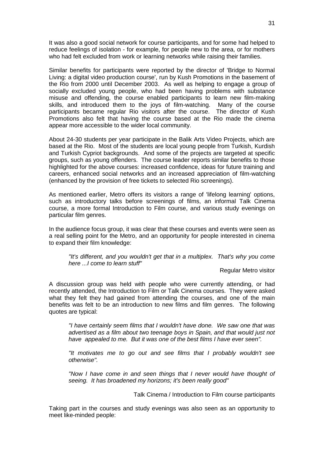It was also a good social network for course participants, and for some had helped to reduce feelings of isolation - for example, for people new to the area, or for mothers who had felt excluded from work or learning networks while raising their families.

Similar benefits for participants were reported by the director of 'Bridge to Normal Living: a digital video production course', run by Kush Promotions in the basement of the Rio from 2000 until December 2003. As well as helping to engage a group of socially excluded young people, who had been having problems with substance misuse and offending, the course enabled participants to learn new film-making skills, and introduced them to the joys of film-watching. Many of the course participants became regular Rio visitors after the course. The director of Kush Promotions also felt that having the course based at the Rio made the cinema appear more accessible to the wider local community.

About 24-30 students per year participate in the Balik Arts Video Projects, which are based at the Rio. Most of the students are local young people from Turkish, Kurdish and Turkish Cypriot backgrounds. And some of the projects are targeted at specific groups, such as young offenders. The course leader reports similar benefits to those highlighted for the above courses: increased confidence, ideas for future training and careers, enhanced social networks and an increased appreciation of film-watching (enhanced by the provision of free tickets to selected Rio screenings).

As mentioned earlier, Metro offers its visitors a range of 'lifelong learning' options, such as introductory talks before screenings of films, an informal Talk Cinema course, a more formal Introduction to Film course, and various study evenings on particular film genres.

In the audience focus group, it was clear that these courses and events were seen as a real selling point for the Metro, and an opportunity for people interested in cinema to expand their film knowledge:

*It's different, and you wouldn't get that in a multiplex. That's why you come here ...I come to learn stuff"*

Regular Metro visitor

A discussion group was held with people who were currently attending, or had recently attended, the Introduction to Film or Talk Cinema courses. They were asked what they felt they had gained from attending the courses, and one of the main benefits was felt to be an introduction to new films and film genres. The following quotes are typical:

*"I have certainly seem films that I wouldn't have done. We saw one that was*  advertised as a film about two teenage boys in Spain, and that would just not *have appealed to me. But it was one of the best films I have ever seen".*

*"It motivates me to go out and see films that I probably wouldn't see otherwise".* 

*"Now I have come in and seen things that I never would have thought of seeing. It has broadened my horizons; it's been really good"*

Talk Cinema / Introduction to Film course participants

Taking part in the courses and study evenings was also seen as an opportunity to meet like-minded people: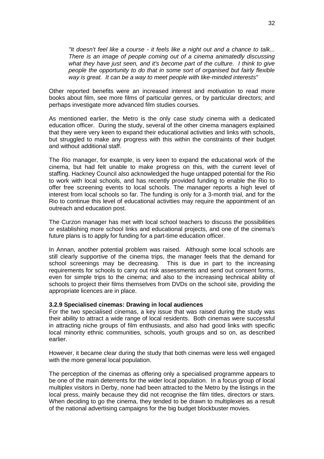*"It doesn't feel like a course - it feels like a night out and a chance to talk... There is an image of people coming out of a cinema animatedly discussing what they have just seen, and it's become part of the culture. I think to give people the opportunity to do that in some sort of organised but fairly flexible way is great. It can be a way to meet people with like-minded interests"* 

Other reported benefits were an increased interest and motivation to read more books about film, see more films of particular genres, or by particular directors; and perhaps investigate more advanced film studies courses.

As mentioned earlier, the Metro is the only case study cinema with a dedicated education officer. During the study, several of the other cinema managers explained that they were very keen to expand their educational activities and links with schools, but struggled to make any progress with this within the constraints of their budget and without additional staff.

The Rio manager, for example, is very keen to expand the educational work of the cinema, but had felt unable to make progress on this, with the current level of staffing. Hackney Council also acknowledged the huge untapped potential for the Rio to work with local schools, and has recently provided funding to enable the Rio to offer free screening events to local schools. The manager reports a high level of interest from local schools so far. The funding is only for a 3-month trial, and for the Rio to continue this level of educational activities may require the appointment of an outreach and education post.

The Curzon manager has met with local school teachers to discuss the possibilities or establishing more school links and educational projects, and one of the cinema's future plans is to apply for funding for a part-time education officer.

In Annan, another potential problem was raised. Although some local schools are still clearly supportive of the cinema trips, the manager feels that the demand for school screenings may be decreasing. This is due in part to the increasing requirements for schools to carry out risk assessments and send out consent forms, even for simple trips to the cinema; and also to the increasing technical ability of schools to project their films themselves from DVDs on the school site, providing the appropriate licences are in place.

#### **3.2.9 Specialised cinemas: Drawing in local audiences**

For the two specialised cinemas, a key issue that was raised during the study was their ability to attract a wide range of local residents. Both cinemas were successful in attracting niche groups of film enthusiasts, and also had good links with specific local minority ethnic communities, schools, youth groups and so on, as described earlier.

However, it became clear during the study that both cinemas were less well engaged with the more general local population.

The perception of the cinemas as offering only a specialised programme appears to be one of the main deterrents for the wider local population. In a focus group of local multiplex visitors in Derby, none had been attracted to the Metro by the listings in the local press, mainly because they did not recognise the film titles, directors or stars. When deciding to go the cinema, they tended to be drawn to multiplexes as a result of the national advertising campaigns for the big budget blockbuster movies.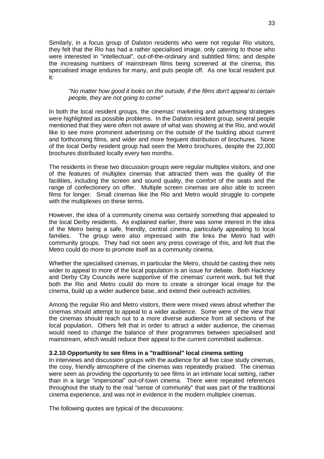Similarly, in a focus group of Dalston residents who were not regular Rio visitors, they felt that the Rio has had a rather specialised image, only catering to those who were interested in "intellectual", out-of-the-ordinary and subtitled films; and despite the increasing numbers of mainstream films being screened at the cinema, this specialised image endures for many, and puts people off. As one local resident put it:

#### *"No matter how good it looks on the outside, if the films don't appeal to certain people, they are not going to come"*

In both the local resident groups, the cinemas' marketing and advertising strategies were highlighted as possible problems. In the Dalston resident group, several people mentioned that they were often not aware of what was showing at the Rio, and would like to see more prominent advertising on the outside of the building about current and forthcoming films, and wider and more frequent distribution of brochures. None of the local Derby resident group had seen the Metro brochures, despite the 22,000 brochures distributed locally every two months.

The residents in these two discussion groups were regular multiplex visitors, and one of the features of multiplex cinemas that attracted them was the quality of the facilities, including the screen and sound quality, the comfort of the seats and the range of confectionery on offer. Multiple screen cinemas are also able to screen films for longer. Small cinemas like the Rio and Metro would struggle to compete with the multiplexes on these terms.

However, the idea of a community cinema was certainly something that appealed to the local Derby residents. As explained earlier, there was some interest in the idea of the Metro being a safe, friendly, central cinema, particularly appealing to local families. The group were also impressed with the links the Metro had with community groups. They had not seen any press coverage of this, and felt that the Metro could do more to promote itself as a community cinema.

Whether the specialised cinemas, in particular the Metro, should be casting their nets wider to appeal to more of the local population is an issue for debate. Both Hackney and Derby City Councils were supportive of the cinemas' current work, but felt that both the Rio and Metro could do more to create a stronger local image for the cinema, build up a wider audience base, and extend their outreach activities.

Among the regular Rio and Metro visitors, there were mixed views about whether the cinemas should attempt to appeal to a wider audience. Some were of the view that the cinemas should reach out to a more diverse audience from all sections of the local population. Others felt that in order to attract a wider audience, the cinemas would need to change the balance of their programmes between specialised and mainstream, which would reduce their appeal to the current committed audience.

#### **3.2.10 Opportunity to see films in a "traditional" local cinema setting**

In interviews and discussion groups with the audience for all five case study cinemas, the cosy, friendly atmosphere of the cinemas was repeatedly praised. The cinemas were seen as providing the opportunity to see films in an intimate local setting, rather than in a large "impersonal" out-of-town cinema. There were repeated references throughout the study to the real "sense of community" that was part of the traditional cinema experience, and was not in evidence in the modern multiplex cinemas.

The following quotes are typical of the discussions: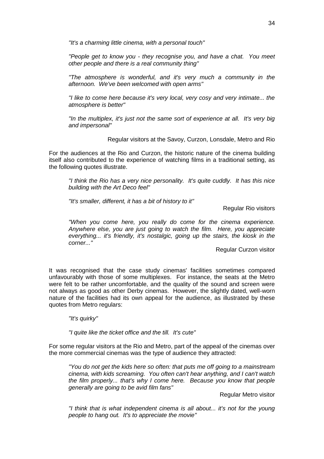*"It's a charming little cinema, with a personal touch"*

*"People get to know you - they recognise you, and have a chat. You meet other people and there is a real community thing"*

*"The atmosphere is wonderful, and it's very much a community in the afternoon. We've been welcomed with open arms"*

*"I like to come here because it's very local, very cosy and very intimate... the atmosphere is better"*

*"In the multiplex, it's just not the same sort of experience at all. It's very big and impersonal"*

Regular visitors at the Savoy, Curzon, Lonsdale, Metro and Rio

For the audiences at the Rio and Curzon, the historic nature of the cinema building itself also contributed to the experience of watching films in a traditional setting, as the following quotes illustrate.

*"I think the Rio has a very nice personality. It's quite cuddly. It has this nice building with the Art Deco feel"*

*"It's smaller, different, it has a bit of history to it"*

Regular Rio visitors

*"When you come here, you really do come for the cinema experience. Anywhere else, you are just going to watch the film. Here, you appreciate everything... it's friendly, it's nostalgic, going up the stairs, the kiosk in the corner..."*

Regular Curzon visitor

It was recognised that the case study cinemas' facilities sometimes compared unfavourably with those of some multiplexes. For instance, the seats at the Metro were felt to be rather uncomfortable, and the quality of the sound and screen were not always as good as other Derby cinemas. However, the slightly dated, well-worn nature of the facilities had its own appeal for the audience, as illustrated by these quotes from Metro regulars:

*"It's quirky"*

*"I quite like the ticket office and the till. It's cute"*

For some regular visitors at the Rio and Metro, part of the appeal of the cinemas over the more commercial cinemas was the type of audience they attracted:

*"You do not get the kids here so often: that puts me off going to a mainstream cinema, with kids screaming. You often can't hear anything, and I can't watch the film properly... that's why I come here. Because you know that people generally are going to be avid film fans"*

Regular Metro visitor

*"I think that is what independent cinema is all about... it's not for the young people to hang out. It's to appreciate the movie"*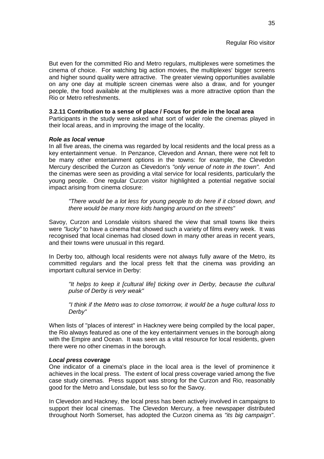But even for the committed Rio and Metro regulars, multiplexes were sometimes the cinema of choice. For watching big action movies, the multiplexes' bigger screens and higher sound quality were attractive. The greater viewing opportunities available on any one day at multiple screen cinemas were also a draw, and for younger people, the food available at the multiplexes was a more attractive option than the Rio or Metro refreshments.

#### **3.2.11 Contribution to a sense of place / Focus for pride in the local area**

Participants in the study were asked what sort of wider role the cinemas played in their local areas, and in improving the image of the locality.

#### *Role as local venue*

In all five areas, the cinema was regarded by local residents and the local press as a key entertainment venue. In Penzance, Clevedon and Annan, there were not felt to be many other entertainment options in the towns: for example, the Clevedon Mercury described the Curzon as Clevedon's *"only venue of note in the town".* And the cinemas were seen as providing a vital service for local residents, particularly the young people. One regular Curzon visitor highlighted a potential negative social impact arising from cinema closure:

*"There would be a lot less for young people to do here if it closed down, and there would be many more kids hanging around on the streets"*

Savoy, Curzon and Lonsdale visitors shared the view that small towns like theirs were *"lucky"* to have a cinema that showed such a variety of films every week. It was recognised that local cinemas had closed down in many other areas in recent years, and their towns were unusual in this regard.

In Derby too, although local residents were not always fully aware of the Metro, its committed regulars and the local press felt that the cinema was providing an important cultural service in Derby:

*"It helps to keep it [cultural life] ticking over in Derby, because the cultural pulse of Derby is very weak"*

*"I think if the Metro was to close tomorrow, it would be a huge cultural loss to Derby"*

When lists of "places of interest" in Hackney were being compiled by the local paper, the Rio always featured as one of the key entertainment venues in the borough along with the Empire and Ocean. It was seen as a vital resource for local residents, given there were no other cinemas in the borough.

#### *Local press coverage*

One indicator of a cinema's place in the local area is the level of prominence it achieves in the local press. The extent of local press coverage varied among the five case study cinemas. Press support was strong for the Curzon and Rio, reasonably good for the Metro and Lonsdale, but less so for the Savoy.

In Clevedon and Hackney, the local press has been actively involved in campaigns to support their local cinemas. The Clevedon Mercury, a free newspaper distributed throughout North Somerset, has adopted the Curzon cinema as *"its big campaign"*.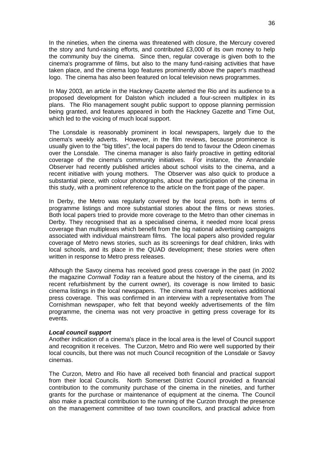In the nineties, when the cinema was threatened with closure, the Mercury covered the story and fund-raising efforts, and contributed £3,000 of its own money to help the community buy the cinema. Since then, regular coverage is given both to the cinema's programme of films, but also to the many fund-raising activities that have taken place, and the cinema logo features prominently above the paper's masthead logo. The cinema has also been featured on local television news programmes.

In May 2003, an article in the Hackney Gazette alerted the Rio and its audience to a proposed development for Dalston which included a four-screen multiplex in its plans. The Rio management sought public support to oppose planning permission being granted, and features appeared in both the Hackney Gazette and Time Out, which led to the voicing of much local support.

The Lonsdale is reasonably prominent in local newspapers, largely due to the cinema's weekly adverts. However, in the film reviews, because prominence is usually given to the "big titles", the local papers do tend to favour the Odeon cinemas over the Lonsdale. The cinema manager is also fairly proactive in getting editorial coverage of the cinema's community initiatives. For instance, the Annandale Observer had recently published articles about school visits to the cinema, and a recent initiative with young mothers. The Observer was also quick to produce a substantial piece, with colour photographs, about the participation of the cinema in this study, with a prominent reference to the article on the front page of the paper.

In Derby, the Metro was regularly covered by the local press, both in terms of programme listings and more substantial stories about the films or news stories. Both local papers tried to provide more coverage to the Metro than other cinemas in Derby. They recognised that as a specialised cinema, it needed more local press coverage than multiplexes which benefit from the big national advertising campaigns associated with individual mainstream films. The local papers also provided regular coverage of Metro news stories, such as its screenings for deaf children, links with local schools, and its place in the QUAD development; these stories were often written in response to Metro press releases.

Although the Savoy cinema has received good press coverage in the past (in 2002 the magazine *Cornwall Today* ran a feature about the history of the cinema, and its recent refurbishment by the current owner), its coverage is now limited to basic cinema listings in the local newspapers. The cinema itself rarely receives additional press coverage. This was confirmed in an interview with a representative from The Cornishman newspaper, who felt that beyond weekly advertisements of the film programme, the cinema was not very proactive in getting press coverage for its events.

#### *Local council support*

Another indication of a cinema's place in the local area is the level of Council support and recognition it receives. The Curzon, Metro and Rio were well supported by their local councils, but there was not much Council recognition of the Lonsdale or Savoy cinemas.

The Curzon, Metro and Rio have all received both financial and practical support from their local Councils. North Somerset District Council provided a financial contribution to the community purchase of the cinema in the nineties, and further grants for the purchase or maintenance of equipment at the cinema. The Council also make a practical contribution to the running of the Curzon through the presence on the management committee of two town councillors, and practical advice from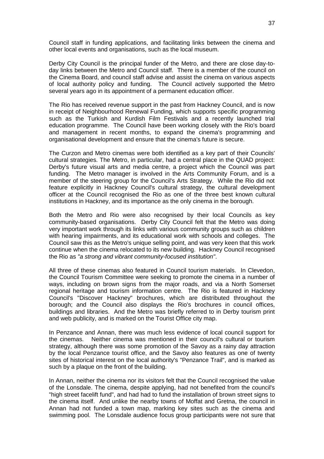Council staff in funding applications, and facilitating links between the cinema and other local events and organisations, such as the local museum.

Derby City Council is the principal funder of the Metro, and there are close day-today links between the Metro and Council staff. There is a member of the council on the Cinema Board, and council staff advise and assist the cinema on various aspects of local authority policy and funding. The Council actively supported the Metro several years ago in its appointment of a permanent education officer.

The Rio has received revenue support in the past from Hackney Council, and is now in receipt of Neighbourhood Renewal Funding, which supports specific programming such as the Turkish and Kurdish Film Festivals and a recently launched trial education programme. The Council have been working closely with the Rio's board and management in recent months, to expand the cinema's programming and organisational development and ensure that the cinema's future is secure.

The Curzon and Metro cinemas were both identified as a key part of their Councils' cultural strategies. The Metro, in particular, had a central place in the QUAD project: Derby's future visual arts and media centre, a project which the Council was part funding. The Metro manager is involved in the Arts Community Forum, and is a member of the steering group for the Council's Arts Strategy. While the Rio did not feature explicitly in Hackney Council's cultural strategy, the cultural development officer at the Council recognised the Rio as one of the three best known cultural institutions in Hackney, and its importance as the only cinema in the borough.

Both the Metro and Rio were also recognised by their local Councils as key community-based organisations. Derby City Council felt that the Metro was doing very important work through its links with various community groups such as children with hearing impairments, and its educational work with schools and colleges. The Council saw this as the Metro's unique selling point, and was very keen that this work continue when the cinema relocated to its new building. Hackney Council recognised the Rio as *"a strong and vibrant community-focused institution"*.

All three of these cinemas also featured in Council tourism materials. In Clevedon, the Council Tourism Committee were seeking to promote the cinema in a number of ways, including on brown signs from the major roads, and via a North Somerset regional heritage and tourism information centre. The Rio is featured in Hackney Council's "Discover Hackney" brochures, which are distributed throughout the borough; and the Council also displays the Rio's brochures in council offices, buildings and libraries. And the Metro was briefly referred to in Derby tourism print and web publicity, and is marked on the Tourist Office city map.

In Penzance and Annan, there was much less evidence of local council support for the cinemas. Neither cinema was mentioned in their council's cultural or tourism strategy, although there was some promotion of the Savoy as a rainy day attraction by the local Penzance tourist office, and the Savoy also features as one of twenty sites of historical interest on the local authority's "Penzance Trail", and is marked as such by a plaque on the front of the building.

In Annan, neither the cinema nor its visitors felt that the Council recognised the value of the Lonsdale. The cinema, despite applying, had not benefited from the council's "high street facelift fund", and had had to fund the installation of brown street signs to the cinema itself. And unlike the nearby towns of Moffat and Gretna, the council in Annan had not funded a town map, marking key sites such as the cinema and swimming pool. The Lonsdale audience focus group participants were not sure that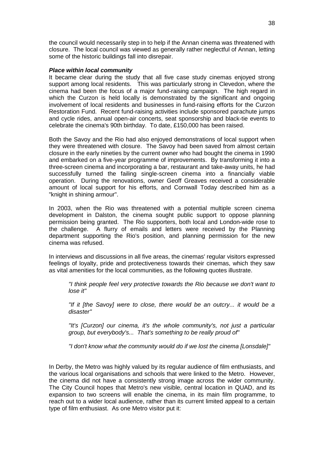the council would necessarily step in to help if the Annan cinema was threatened with closure. The local council was viewed as generally rather neglectful of Annan, letting some of the historic buildings fall into disrepair.

#### *Place within local community*

It became clear during the study that all five case study cinemas enjoyed strong support among local residents. This was particularly strong in Clevedon, where the cinema had been the focus of a major fund-raising campaign. The high regard in which the Curzon is held locally is demonstrated by the significant and ongoing involvement of local residents and businesses in fund-raising efforts for the Curzon Restoration Fund. Recent fund-raising activities include sponsored parachute jumps and cycle rides, annual open-air concerts, seat sponsorship and black-tie events to celebrate the cinema's 90th birthday. To date, £150,000 has been raised.

Both the Savoy and the Rio had also enjoyed demonstrations of local support when they were threatened with closure. The Savoy had been saved from almost certain closure in the early nineties by the current owner who had bought the cinema in 1990 and embarked on a five-year programme of improvements. By transforming it into a three-screen cinema and incorporating a bar, restaurant and take-away units, he had successfully turned the failing single-screen cinema into a financially viable operation. During the renovations, owner Geoff Greaves received a considerable amount of local support for his efforts, and Cornwall Today described him as a "knight in shining armour".

In 2003, when the Rio was threatened with a potential multiple screen cinema development in Dalston, the cinema sought public support to oppose planning permission being granted. The Rio supporters, both local and London-wide rose to the challenge. A flurry of emails and letters were received by the Planning department supporting the Rio's position, and planning permission for the new cinema was refused.

In interviews and discussions in all five areas, the cinemas' regular visitors expressed feelings of loyalty, pride and protectiveness towards their cinemas, which they saw as vital amenities for the local communities, as the following quotes illustrate.

*"I think people feel very protective towards the Rio because we don't want to lose it"*

*"If it [the Savoy] were to close, there would be an outcry... it would be a disaster"*

*"It's [Curzon] our cinema, it's the whole community's, not just a particular group, but everybody's... That's something to be really proud of"*

*"I don't know what the community would do if we lost the cinema [Lonsdale]"*

In Derby, the Metro was highly valued by its regular audience of film enthusiasts, and the various local organisations and schools that were linked to the Metro. However, the cinema did not have a consistently strong image across the wider community. The City Council hopes that Metro's new visible, central location in QUAD, and its expansion to two screens will enable the cinema, in its main film programme, to reach out to a wider local audience, rather than its current limited appeal to a certain type of film enthusiast. As one Metro visitor put it: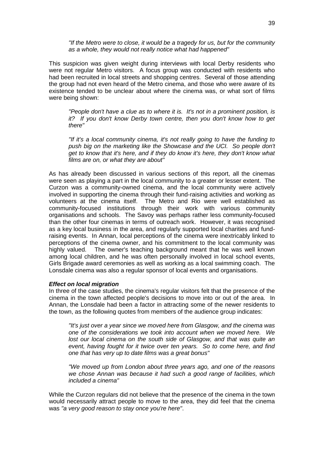*"If the Metro were to close, it would be a tragedy for us, but for the community as a whole, they would not really notice what had happened"*

This suspicion was given weight during interviews with local Derby residents who were not regular Metro visitors. A focus group was conducted with residents who had been recruited in local streets and shopping centres. Several of those attending the group had not even heard of the Metro cinema, and those who were aware of its existence tended to be unclear about where the cinema was, or what sort of films were being shown:

*"People don't have a clue as to where it is. It's not in a prominent position, is it? If you don't know Derby town centre, then you don't know how to get there"* 

*"If it's a local community cinema, it's not really going to have the funding to*  push big on the marketing like the Showcase and the UCI. So people don't *get to know that it's here, and if they do know it's here, they don't know what films are on, or what they are about"*

As has already been discussed in various sections of this report, all the cinemas were seen as playing a part in the local community to a greater or lesser extent. The Curzon was a community-owned cinema, and the local community were actively involved in supporting the cinema through their fund-raising activities and working as volunteers at the cinema itself. The Metro and Rio were well established as community-focused institutions through their work with various community organisations and schools. The Savoy was perhaps rather less community-focused than the other four cinemas in terms of outreach work. However, it was recognised as a key local business in the area, and regularly supported local charities and fundraising events. In Annan, local perceptions of the cinema were inextricably linked to perceptions of the cinema owner, and his commitment to the local community was highly valued. The owner's teaching background meant that he was well known among local children, and he was often personally involved in local school events, Girls Brigade award ceremonies as well as working as a local swimming coach. The Lonsdale cinema was also a regular sponsor of local events and organisations.

#### *Effect on local migration*

In three of the case studies, the cinema's regular visitors felt that the presence of the cinema in the town affected people's decisions to move into or out of the area. In Annan, the Lonsdale had been a factor in attracting some of the newer residents to the town, as the following quotes from members of the audience group indicates:

*"It's just over a year since we moved here from Glasgow, and the cinema was one of the considerations we took into account when we moved here. We*  lost our local cinema on the south side of Glasgow, and that was quite an *event, having fought for it twice over ten years. So to come here, and find one that has very up to date films was a great bonus"*

*"We moved up from London about three years ago, and one of the reasons we chose Annan was because it had such a good range of facilities, which included a cinema"*

While the Curzon regulars did not believe that the presence of the cinema in the town would necessarily attract people to move to the area, they did feel that the cinema was *"a very good reason to stay once you're here"*.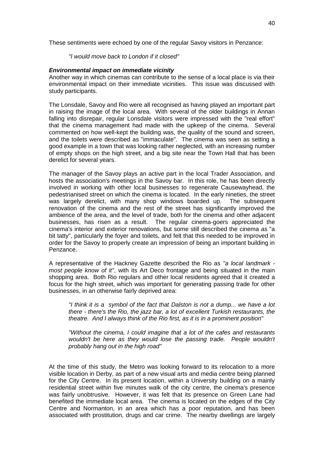These sentiments were echoed by one of the regular Savoy visitors in Penzance:

#### *"I would move back to London if it closed"*

#### *Environmental impact on immediate vicinity*

Another way in which cinemas can contribute to the sense of a local place is via their environmental impact on their immediate vicinities. This issue was discussed with study participants.

The Lonsdale, Savoy and Rio were all recognised as having played an important part in raising the image of the local area. With several of the older buildings in Annan falling into disrepair, regular Lonsdale visitors were impressed with the "real effort" that the cinema management had made with the upkeep of the cinema. Several commented on how well-kept the building was, the quality of the sound and screen, and the toilets were described as "immaculate". The cinema was seen as setting a good example in a town that was looking rather neglected, with an increasing number of empty shops on the high street, and a big site near the Town Hall that has been derelict for several years.

The manager of the Savoy plays an active part in the local Trader Association, and hosts the association's meetings in the Savoy bar. In this role, he has been directly involved in working with other local businesses to regenerate Causewayhead, the pedestrianised street on which the cinema is located. In the early nineties, the street was largely derelict, with many shop windows boarded up. The subsequent renovation of the cinema and the rest of the street has significantly improved the ambience of the area, and the level of trade, both for the cinema and other adjacent businesses, has risen as a result. The regular cinema-goers appreciated the cinema's interior and exterior renovations, but some still described the cinema as "a bit tatty", particularly the foyer and toilets, and felt that this needed to be improved in order for the Savoy to properly create an impression of being an important building in Penzance.

A representative of the Hackney Gazette described the Rio as *"a local landmark most people know of it"*, with its Art Deco frontage and being situated in the main shopping area. Both Rio regulars and other local residents agreed that it created a focus for the high street, which was important for generating passing trade for other businesses, in an otherwise fairly deprived area:

*"I think it is a symbol of the fact that Dalston is not a dump... we have a lot there - there's the Rio, the jazz bar, a lot of excellent Turkish restaurants, the theatre. And I always think of the Rio first, as it is in a prominent position"*

*"Without the cinema, I could imagine that a lot of the cafes and restaurants wouldn't be here as they would lose the passing trade. People wouldn't probably hang out in the high road"*

At the time of this study, the Metro was looking forward to its relocation to a more visible location in Derby, as part of a new visual arts and media centre being planned for the City Centre. In its present location, within a University building on a mainly residential street within five minutes walk of the city centre, the cinema's presence was fairly unobtrusive. However, it was felt that its presence on Green Lane had benefited the immediate local area. The cinema is located on the edges of the City Centre and Normanton, in an area which has a poor reputation, and has been associated with prostitution, drugs and car crime. The nearby dwellings are largely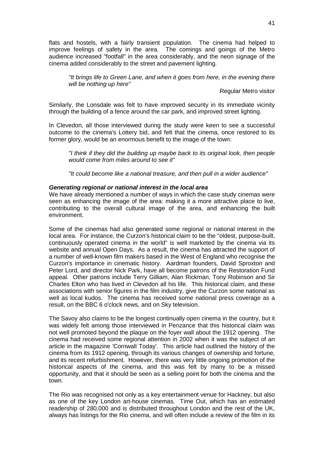flats and hostels, with a fairly transient population. The cinema had helped to improve feelings of safety in the area. The comings and goings of the Metro audience increased "footfall" in the area considerably, and the neon signage of the cinema added considerably to the street and pavement lighting.

*"It brings life to Green Lane, and when it goes from here, in the evening there will be nothing up here"*

Regular Metro visitor

Similarly, the Lonsdale was felt to have improved security in its immediate vicinity through the building of a fence around the car park, and improved street lighting.

In Clevedon, all those interviewed during the study were keen to see a successful outcome to the cinema's Lottery bid, and felt that the cinema, once restored to its former glory, would be an enormous benefit to the image of the town:

*"I think if they did the building up maybe back to its original look, then people would come from miles around to see it"*

*"It could become like a national treasure, and then pull in a wider audience"*

#### *Generating regional or national interest in the local area*

We have already mentioned a number of ways in which the case study cinemas were seen as enhancing the image of the area: making it a more attractive place to live, contributing to the overall cultural image of the area, and enhancing the built environment.

Some of the cinemas had also generated some regional or national interest in the local area. For instance, the Curzon's historical claim to be the "oldest, purpose-built, continuously operated cinema in the world" is well marketed by the cinema via its website and annual Open Days. As a result, the cinema has attracted the support of a number of well-known film makers based in the West of England who recognise the Curzon's importance in cinematic history. Aardman founders, David Sproxton and Peter Lord, and director Nick Park, have all become patrons of the Restoration Fund appeal. Other patrons include Terry Gilliam, Alan Rickman, Tony Robinson and Sir Charles Elton who has lived in Clevedon all his life. This historical claim, and these associations with senior figures in the film industry, give the Curzon some national as well as local kudos. The cinema has received some national press coverage as a result, on the BBC 6 o'clock news, and on Sky television.

The Savoy also claims to be the longest continually open cinema in the country, but it was widely felt among those interviewed in Penzance that this historical claim was not well promoted beyond the plaque on the foyer wall about the 1912 opening. The cinema had received some regional attention in 2002 when it was the subject of an article in the magazine 'Cornwall Today'. This article had outlined the history of the cinema from its 1912 opening, through its various changes of ownership and fortune, and its recent refurbishment. However, there was very little ongoing promotion of the historical aspects of the cinema, and this was felt by many to be a missed opportunity, and that it should be seen as a selling point for both the cinema and the town.

The Rio was recognised not only as a key entertainment venue for Hackney, but also as one of the key London art-house cinemas. Time Out, which has an estimated readership of 280,000 and is distributed throughout London and the rest of the UK, always has listings for the Rio cinema, and will often include a review of the film in its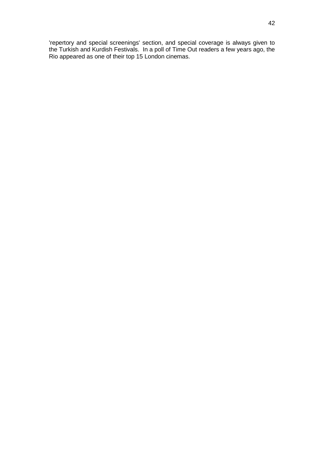'repertory and special screenings' section, and special coverage is always given to the Turkish and Kurdish Festivals. In a poll of Time Out readers a few years ago, the Rio appeared as one of their top 15 London cinemas.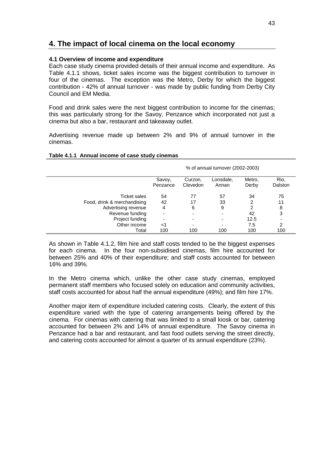## **4. The impact of local cinema on the local economy**

#### **4.1 Overview of income and expenditure**

Each case study cinema provided details of their annual income and expenditure. As Table 4.1.1 shows, ticket sales income was the biggest contribution to turnover in four of the cinemas. The exception was the Metro, Derby for which the biggest contribution - 42% of annual turnover - was made by public funding from Derby City Council and EM Media.

Food and drink sales were the next biggest contribution to income for the cinemas; this was particularly strong for the Savoy, Penzance which incorporated not just a cinema but also a bar, restaurant and takeaway outlet.

Advertising revenue made up between 2% and 9% of annual turnover in the cinemas.

|                             | % of annual turnover (2002-2003) |                     |                    |                 |                 |  |
|-----------------------------|----------------------------------|---------------------|--------------------|-----------------|-----------------|--|
|                             | Savoy,<br>Penzance               | Curzon,<br>Clevedon | Lonsdale,<br>Annan | Metro,<br>Derby | Rio,<br>Dalston |  |
| <b>Ticket sales</b>         | 54                               | 77                  | 57                 | 34              | 75              |  |
| Food, drink & merchandising | 42                               | 17                  | 33                 | 2               | 11              |  |
| Advertising revenue         | 4                                | 6                   | 9                  | 2               | 8               |  |
| Revenue funding             |                                  |                     |                    | 42              | 3               |  |
| Project funding             | -                                |                     |                    | 12.5            |                 |  |
| Other income                | <1                               |                     |                    | 7.5             | 2               |  |
| Total                       | 100                              | 100                 | 100                | 100             | 100             |  |

#### **Table 4.1.1 Annual income of case study cinemas**

As shown in Table 4.1.2, film hire and staff costs tended to be the biggest expenses for each cinema. In the four non-subsidised cinemas, film hire accounted for between 25% and 40% of their expenditure; and staff costs accounted for between 16% and 39%.

In the Metro cinema which, unlike the other case study cinemas, employed permanent staff members who focused solely on education and community activities, staff costs accounted for about half the annual expenditure (49%); and film hire 17%.

Another major item of expenditure included catering costs. Clearly, the extent of this expenditure varied with the type of catering arrangements being offered by the cinema. For cinemas with catering that was limited to a small kiosk or bar, catering accounted for between 2% and 14% of annual expenditure. The Savoy cinema in Penzance had a bar and restaurant, and fast food outlets serving the street directly, and catering costs accounted for almost a quarter of its annual expenditure (23%).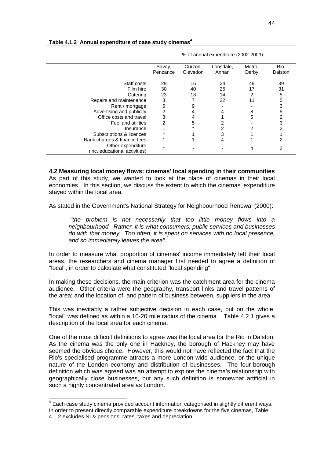|                                                    | % of annual expenditure (2002-2003) |                     |                    |                 |                 |  |  |
|----------------------------------------------------|-------------------------------------|---------------------|--------------------|-----------------|-----------------|--|--|
|                                                    | Savoy,<br>Penzance                  | Curzon,<br>Clevedon | Lonsdale,<br>Annan | Metro,<br>Derby | Rio,<br>Dalston |  |  |
| Staff costs                                        | 29                                  | 16                  | 24                 | 49              | 39              |  |  |
| Film hire                                          | 30                                  | 40                  | 25                 | 17              | 31              |  |  |
| Catering                                           | 23                                  | 13                  | 14                 | 2               | 5               |  |  |
| Repairs and maintenance                            | 3                                   |                     | 22                 | 11              | 5               |  |  |
| Rent / mortgage                                    | 6                                   | 9                   |                    |                 | 3               |  |  |
| Advertising and publicity                          | 2                                   | 4                   |                    | 8               | 5               |  |  |
| Office costs and travel                            |                                     | 4                   |                    | 5               | 2               |  |  |
| <b>Fuel and utilities</b>                          |                                     | 5                   |                    |                 | 3               |  |  |
| Insurance                                          |                                     |                     |                    |                 |                 |  |  |
| Subscriptions & licences                           |                                     |                     |                    |                 |                 |  |  |
| Bank charges & finance fees                        |                                     |                     |                    |                 |                 |  |  |
| Other expenditure<br>(inc. educational activities) | $\star$                             |                     |                    |                 |                 |  |  |

#### **Table 4.1.2 Annual expenditure of case study cinemas<sup>4</sup>**

**4.2 Measuring local money flows: cinemas' local spending in their communities** As part of this study, we wanted to look at the place of cinemas in their local economies. In this section, we discuss the extent to which the cinemas' expenditure stayed within the local area.

As stated in the Government's National Strategy for Neighbourhood Renewal (2000):

*"the problem is not necessarily that too little money flows into a neighbourhood. Rather, it is what consumers, public services and businesses do with that money. Too often, it is spent on services with no local presence, and so immediately leaves the area".* 

In order to measure what proportion of cinemas' income immediately left their local areas, the researchers and cinema manager first needed to agree a definition of "local", in order to calculate what constituted "local spending".

In making these decisions, the main criterion was the catchment area for the cinema audience. Other criteria were the geography, transport links and travel patterns of the area; and the location of, and pattern of business between, suppliers in the area.

This was inevitably a rather subjective decision in each case, but on the whole, "local" was defined as within a 10-20 mile radius of the cinema. Table 4.2.1 gives a description of the local area for each cinema.

One of the most difficult definitions to agree was the local area for the Rio in Dalston. As the cinema was the only one in Hackney, the borough of Hackney may have seemed the obvious choice. However, this would not have reflected the fact that the Rio's specialised programme attracts a more London-wide audience, or the unique nature of the London economy and distribution of businesses. The four-borough definition which was agreed was an attempt to explore the cinema's relationship with geographically close businesses, but any such definition is somewhat artificial in such a highly concentrated area as London.

 4 Each case study cinema provided account information categorised in slightly different ways. In order to present directly comparable expenditure breakdowns for the five cinemas, Table 4.1.2 excludes NI & pensions, rates, taxes and depreciation.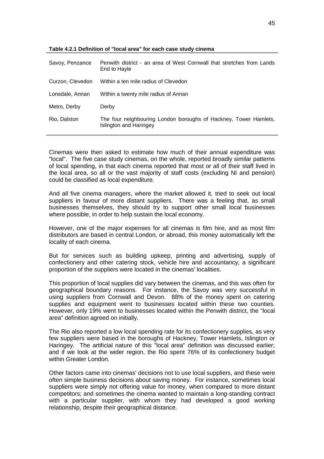| Savoy, Penzance  | Penwith district - an area of West Cornwall that stretches from Lands<br>End to Hayle      |
|------------------|--------------------------------------------------------------------------------------------|
| Curzon, Clevedon | Within a ten mile radius of Clevedon                                                       |
| Lonsdale, Annan  | Within a twenty mile radius of Annan                                                       |
| Metro, Derby     | Derby                                                                                      |
| Rio, Dalston     | The four neighbouring London boroughs of Hackney, Tower Hamlets,<br>Islington and Haringey |

#### **Table 4.2.1 Definition of "local area" for each case study cinema**

Cinemas were then asked to estimate how much of their annual expenditure was "local". The five case study cinemas, on the whole, reported broadly similar patterns of local spending, in that each cinema reported that most or all of their staff lived in the local area, so all or the vast majority of staff costs (excluding NI and pension) could be classified as local expenditure.

And all five cinema managers, where the market allowed it, tried to seek out local suppliers in favour of more distant suppliers. There was a feeling that, as small businesses themselves, they should try to support other small local businesses where possible, in order to help sustain the local economy.

However, one of the major expenses for all cinemas is film hire, and as most film distributors are based in central London, or abroad, this money automatically left the locality of each cinema.

But for services such as building upkeep, printing and advertising, supply of confectionery and other catering stock, vehicle hire and accountancy, a significant proportion of the suppliers were located in the cinemas' localities.

This proportion of local supplies did vary between the cinemas, and this was often for geographical boundary reasons. For instance, the Savoy was very successful in using suppliers from Cornwall and Devon. 88% of the money spent on catering supplies and equipment went to businesses located within these two counties. However, only 19% went to businesses located within the Penwith district, the "local area" definition agreed on initially.

The Rio also reported a low local spending rate for its confectionery supplies, as very few suppliers were based in the boroughs of Hackney, Tower Hamlets, Islington or Haringey. The artificial nature of this "local area" definition was discussed earlier; and if we look at the wider region, the Rio spent 76% of its confectionery budget within Greater London.

Other factors came into cinemas' decisions not to use local suppliers, and these were often simple business decisions about saving money. For instance, sometimes local suppliers were simply not offering value for money, when compared to more distant competitors; and sometimes the cinema wanted to maintain a long-standing contract with a particular supplier, with whom they had developed a good working relationship, despite their geographical distance.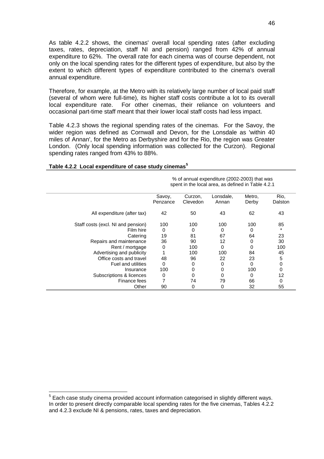As table 4.2.2 shows, the cinemas' overall local spending rates (after excluding taxes, rates, depreciation, staff NI and pension) ranged from 42% of annual expenditure to 62%. The overall rate for each cinema was of course dependent, not only on the local spending rates for the different types of expenditure, but also by the extent to which different types of expenditure contributed to the cinema's overall annual expenditure.

Therefore, for example, at the Metro with its relatively large number of local paid staff (several of whom were full-time), its higher staff costs contribute a lot to its overall local expenditure rate. For other cinemas, their reliance on volunteers and occasional part-time staff meant that their lower local staff costs had less impact.

Table 4.2.3 shows the regional spending rates of the cinemas. For the Savoy, the wider region was defined as Cornwall and Devon, for the Lonsdale as 'within 40 miles of Annan', for the Metro as Derbyshire and for the Rio, the region was Greater London. (Only local spending information was collected for the Curzon). Regional spending rates ranged from 43% to 88%.

|                                    | % of annual expenditure (2002-2003) that was<br>spent in the local area, as defined in Table 4.2.1 |                     |                    |                 |                 |  |
|------------------------------------|----------------------------------------------------------------------------------------------------|---------------------|--------------------|-----------------|-----------------|--|
|                                    | Savoy,<br>Penzance                                                                                 | Curzon,<br>Clevedon | Lonsdale,<br>Annan | Metro,<br>Derby | Rio,<br>Dalston |  |
| All expenditure (after tax)        | 42                                                                                                 | 50                  | 43                 | 62              | 43              |  |
| Staff costs (excl. NI and pension) | 100                                                                                                | 100                 | 100                | 100             | 85              |  |
| Film hire                          | 0                                                                                                  | 0                   | 0                  | 0               | *               |  |
| Catering                           | 19                                                                                                 | 81                  | 67                 | 64              | 23              |  |
| Repairs and maintenance            | 36                                                                                                 | 90                  | 12                 | 0               | 30              |  |
| Rent / mortgage                    | 0                                                                                                  | 100                 | 0                  | 0               | 100             |  |
| Advertising and publicity          |                                                                                                    | 100                 | 100                | 84              | 45              |  |
| Office costs and travel            | 48                                                                                                 | 96                  | 22                 | 23              | 5               |  |
| Fuel and utilities                 | 0                                                                                                  | 0                   | 0                  | $\Omega$        | 0               |  |
| Insurance                          | 100                                                                                                | 0                   | 0                  | 100             | 0               |  |
| Subscriptions & licences           | 0                                                                                                  | 0                   | 0                  | 0               | 12              |  |
| Finance fees                       |                                                                                                    | 74                  | 79                 | 66              | 0               |  |
| Other                              | 90                                                                                                 | 0                   | 0                  | 32              | 55              |  |

#### **Table 4.2.2 Local expenditure of case study cinemas<sup>5</sup>**

-

<sup>5</sup> Each case study cinema provided account information categorised in slightly different ways. In order to present directly comparable local spending rates for the five cinemas, Tables 4.2.2 and 4.2.3 exclude NI & pensions, rates, taxes and depreciation.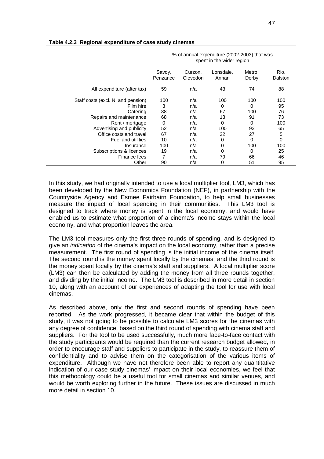|                                    | % or annual expenditure (2002-2003) that was<br>spent in the wider region |                     |                    |                 |                 |  |  |
|------------------------------------|---------------------------------------------------------------------------|---------------------|--------------------|-----------------|-----------------|--|--|
|                                    | Savoy,<br>Penzance                                                        | Curzon,<br>Clevedon | Lonsdale,<br>Annan | Metro,<br>Derby | Rio,<br>Dalston |  |  |
| All expenditure (after tax)        | 59                                                                        | n/a                 | 43                 | 74              | 88              |  |  |
| Staff costs (excl. NI and pension) | 100                                                                       | n/a                 | 100                | 100             | 100             |  |  |
| Film hire                          | 3                                                                         | n/a                 | 0                  | 0               | 95              |  |  |
| Catering                           | 88                                                                        | n/a                 | 67                 | 100             | 76              |  |  |
| Repairs and maintenance            | 68                                                                        | n/a                 | 13                 | 91              | 73              |  |  |
| Rent / mortgage                    | 0                                                                         | n/a                 | 0                  | 0               | 100             |  |  |
| Advertising and publicity          | 52                                                                        | n/a                 | 100                | 93              | 65              |  |  |
| Office costs and travel            | 67                                                                        | n/a                 | 22                 | 27              | $\sqrt{5}$      |  |  |
| <b>Fuel and utilities</b>          | 10                                                                        | n/a                 | 0                  | $\Omega$        | 0               |  |  |
| Insurance                          | 100                                                                       | n/a                 | 0                  | 100             | 100             |  |  |
| Subscriptions & licences           | 19                                                                        | n/a                 | 0                  | $\Omega$        | 25              |  |  |
| Finance fees                       |                                                                           | n/a                 | 79                 | 66              | 46              |  |  |
| Other                              | 90                                                                        | n/a                 | 0                  | 51              | 95              |  |  |

#### **Table 4.2.3 Regional expenditure of case study cinemas**

In this study, we had originally intended to use a local multiplier tool, LM3, which has been developed by the New Economics Foundation (NEF), in partnership with the Countryside Agency and Esmee Fairbairn Foundation, to help small businesses measure the impact of local spending in their communities. This LM3 tool is designed to track where money is spent in the local economy, and would have enabled us to estimate what proportion of a cinema's income stays within the local economy, and what proportion leaves the area.

The LM3 tool measures only the first three rounds of spending, and is designed to give an *indication* of the cinema's impact on the local economy, rather than a precise measurement. The first round of spending is the initial income of the cinema itself. The second round is the money spent locally by the cinemas; and the third round is the money spent locally by the cinema's staff and suppliers. A local multiplier score (LM3) can then be calculated by adding the money from all three rounds together, and dividing by the initial income. The LM3 tool is described in more detail in section 10, along with an account of our experiences of adapting the tool for use with local cinemas.

As described above, only the first and second rounds of spending have been reported. As the work progressed, it became clear that within the budget of this study, it was not going to be possible to calculate LM3 scores for the cinemas with any degree of confidence, based on the third round of spending with cinema staff and suppliers. For the tool to be used successfully, much more face-to-face contact with the study participants would be required than the current research budget allowed, in order to encourage staff and suppliers to participate in the study, to reassure them of confidentiality and to advise them on the categorisation of the various items of expenditure. Although we have not therefore been able to report any quantitative indication of our case study cinemas' impact on their local economies, we feel that this methodology could be a useful tool for small cinemas and similar venues, and would be worth exploring further in the future. These issues are discussed in much more detail in section 10.

 $\frac{1}{2}$  of annual expenditure (2002-2003) that was  $\frac{1}{2}$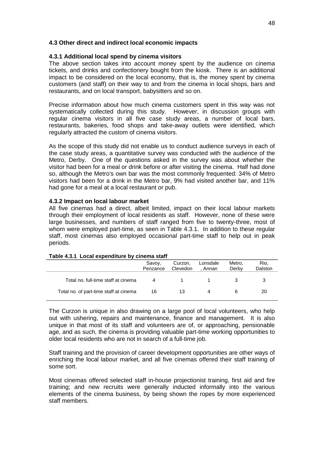#### **4.3 Other direct and indirect local economic impacts**

#### **4.3.1 Additional local spend by cinema visitors**

The above section takes into account money spent by the audience on cinema tickets, and drinks and confectionery bought from the kiosk. There is an additional impact to be considered on the local economy, that is, the money spent by cinema customers (and staff) on their way to and from the cinema in local shops, bars and restaurants, and on local transport, babysitters and so on.

Precise information about how much cinema customers spent in this way was not systematically collected during this study. However, in discussion groups with regular cinema visitors in all five case study areas, a number of local bars, restaurants, bakeries, food shops and take-away outlets were identified, which regularly attracted the custom of cinema visitors.

As the scope of this study did not enable us to conduct audience surveys in each of the case study areas, a quantitative survey was conducted with the audience of the Metro, Derby. One of the questions asked in the survey was about whether the visitor had been for a meal or drink before or after visiting the cinema. Half had done so, although the Metro's own bar was the most commonly frequented: 34% of Metro visitors had been for a drink in the Metro bar, 9% had visited another bar, and 11% had gone for a meal at a local restaurant or pub.

#### **4.3.2 Impact on local labour market**

All five cinemas had a direct, albeit limited, impact on their local labour markets through their employment of local residents as staff. However, none of these were large businesses, and numbers of staff ranged from five to twenty-three, most of whom were employed part-time, as seen in Table 4.3.1. In addition to these regular staff, most cinemas also employed occasional part-time staff to help out in peak periods.

|                                        | Savoy,<br>Penzance | Curzon,<br>Clevedon | Lonsdale<br>. Annan | Metro.<br>Derby | Rio,<br>Dalston |
|----------------------------------------|--------------------|---------------------|---------------------|-----------------|-----------------|
| Total no. full-time staff at cinema    | 4                  |                     |                     |                 |                 |
| Total no. of part-time staff at cinema | 16                 | 13                  |                     |                 | 20              |

#### **Table 4.3.1 Local expenditure by cinema staff**

The Curzon is unique in also drawing on a large pool of local volunteers, who help out with ushering, repairs and maintenance, finance and management. It is also unique in that most of its staff and volunteers are of, or approaching, pensionable age, and as such, the cinema is providing valuable part-time working opportunities to older local residents who are not in search of a full-time job.

Staff training and the provision of career development opportunities are other ways of enriching the local labour market, and all five cinemas offered their staff training of some sort.

Most cinemas offered selected staff in-house projectionist training, first aid and fire training; and new recruits were generally inducted informally into the various elements of the cinema business, by being shown the ropes by more experienced staff members.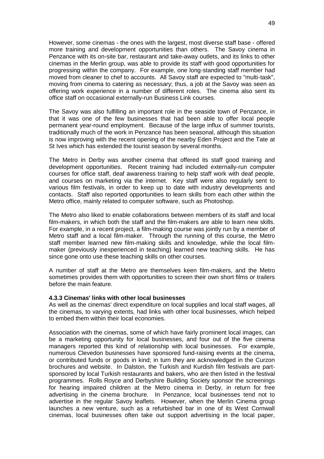However, some cinemas - the ones with the largest, most diverse staff base - offered more training and development opportunities than others. The Savoy cinema in Penzance with its on-site bar, restaurant and take-away outlets, and its links to other cinemas in the Merlin group, was able to provide its staff with good opportunities for progressing within the company. For example, one long-standing staff member had moved from cleaner to chef to accounts. All Savoy staff are expected to "multi-task", moving from cinema to catering as necessary; thus, a job at the Savoy was seen as offering work experience in a number of different roles. The cinema also sent its office staff on occasional externally-run Business Link courses.

The Savoy was also fulfilling an important role in the seaside town of Penzance, in that it was one of the few businesses that had been able to offer local people permanent year-round employment. Because of the large influx of summer tourists, traditionally much of the work in Penzance has been seasonal, although this situation is now improving with the recent opening of the nearby Eden Project and the Tate at St Ives which has extended the tourist season by several months.

The Metro in Derby was another cinema that offered its staff good training and development opportunities. Recent training had included externally-run computer courses for office staff, deaf awareness training to help staff work with deaf people, and courses on marketing via the internet. Key staff were also regularly sent to various film festivals, in order to keep up to date with industry developments and contacts. Staff also reported opportunities to learn skills from each other within the Metro office, mainly related to computer software, such as Photoshop.

The Metro also liked to enable collaborations between members of its staff and local film-makers, in which both the staff and the film-makers are able to learn new skills. For example, in a recent project, a film-making course was jointly run by a member of Metro staff and a local film-maker. Through the running of this course, the Metro staff member learned new film-making skills and knowledge, while the local filmmaker (previously inexperienced in teaching) learned new teaching skills. He has since gone onto use these teaching skills on other courses.

A number of staff at the Metro are themselves keen film-makers, and the Metro sometimes provides them with opportunities to screen their own short films or trailers before the main feature.

#### **4.3.3 Cinemas' links with other local businesses**

As well as the cinemas' direct expenditure on local supplies and local staff wages, all the cinemas, to varying extents, had links with other local businesses, which helped to embed them within their local economies.

Association with the cinemas, some of which have fairly prominent local images, can be a marketing opportunity for local businesses, and four out of the five cinema managers reported this kind of relationship with local businesses. For example, numerous Clevedon businesses have sponsored fund-raising events at the cinema, or contributed funds or goods in kind; in turn they are acknowledged in the Curzon brochures and website. In Dalston, the Turkish and Kurdish film festivals are partsponsored by local Turkish restaurants and bakers, who are then listed in the festival programmes. Rolls Royce and Derbyshire Building Society sponsor the screenings for hearing impaired children at the Metro cinema in Derby, in return for free advertising in the cinema brochure. In Penzance, local businesses tend not to advertise in the regular Savoy leaflets. However, when the Merlin Cinema group launches a new venture, such as a refurbished bar in one of its West Cornwall cinemas, local businesses often take out support advertising in the local paper,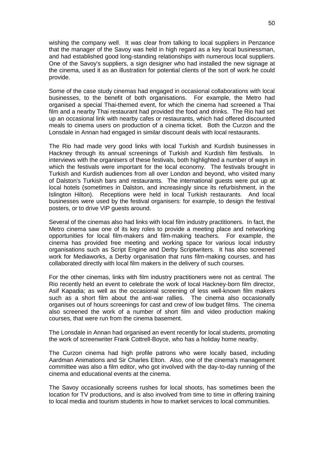wishing the company well. It was clear from talking to local suppliers in Penzance that the manager of the Savoy was held in high regard as a key local businessman, and had established good long-standing relationships with numerous local suppliers. One of the Savoy's suppliers, a sign designer who had installed the new signage at the cinema, used it as an illustration for potential clients of the sort of work he could provide.

Some of the case study cinemas had engaged in occasional collaborations with local businesses, to the benefit of both organisations. For example, the Metro had organised a special Thai-themed event, for which the cinema had screened a Thai film and a nearby Thai restaurant had provided the food and drinks. The Rio had set up an occasional link with nearby cafes or restaurants, which had offered discounted meals to cinema users on production of a cinema ticket. Both the Curzon and the Lonsdale in Annan had engaged in similar discount deals with local restaurants.

The Rio had made very good links with local Turkish and Kurdish businesses in Hackney through its annual screenings of Turkish and Kurdish film festivals. In interviews with the organisers of these festivals, both highlighted a number of ways in which the festivals were important for the local economy. The festivals brought in Turkish and Kurdish audiences from all over London and beyond, who visited many of Dalston's Turkish bars and restaurants. The international guests were put up at local hotels (sometimes in Dalston, and increasingly since its refurbishment, in the Islington Hilton). Receptions were held in local Turkish restaurants. And local businesses were used by the festival organisers: for example, to design the festival posters, or to drive VIP guests around.

Several of the cinemas also had links with local film industry practitioners. In fact, the Metro cinema saw one of its key roles to provide a meeting place and networking opportunities for local film-makers and film-making teachers. For example, the cinema has provided free meeting and working space for various local industry organisations such as Script Engine and Derby Scriptwriters. It has also screened work for Mediaworks, a Derby organisation that runs film-making courses, and has collaborated directly with local film makers in the delivery of such courses.

For the other cinemas, links with film industry practitioners were not as central. The Rio recently held an event to celebrate the work of local Hackney-born film director, Asif Kapadia; as well as the occasional screening of less well-known film makers such as a short film about the anti-war rallies. The cinema also occasionally organises out of hours screenings for cast and crew of low budget films. The cinema also screened the work of a number of short film and video production making courses, that were run from the cinema basement.

The Lonsdale in Annan had organised an event recently for local students, promoting the work of screenwriter Frank Cottrell-Boyce, who has a holiday home nearby.

The Curzon cinema had high profile patrons who were locally based, including Aardman Animations and Sir Charles Elton. Also, one of the cinema's management committee was also a film editor, who got involved with the day-to-day running of the cinema and educational events at the cinema.

The Savoy occasionally screens rushes for local shoots, has sometimes been the location for TV productions, and is also involved from time to time in offering training to local media and tourism students in how to market services to local communities.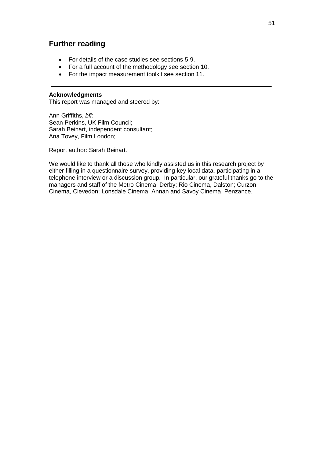## **Further reading**

- For details of the case studies see sections 5-9.
- For a full account of the methodology see section 10.
- For the impact measurement toolkit see section 11.

#### **Acknowledgments**

This report was managed and steered by:

Ann Griffiths, *bfi;* Sean Perkins, UK Film Council; Sarah Beinart, independent consultant; Ana Tovey, Film London;

Report author: Sarah Beinart.

We would like to thank all those who kindly assisted us in this research project by either filling in a questionnaire survey, providing key local data, participating in a telephone interview or a discussion group. In particular, our grateful thanks go to the managers and staff of the Metro Cinema, Derby; Rio Cinema, Dalston; Curzon Cinema, Clevedon; Lonsdale Cinema, Annan and Savoy Cinema, Penzance.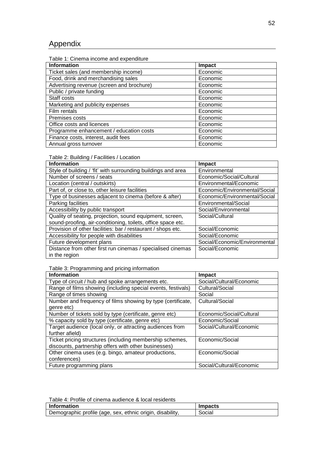## Appendix

| Table 1: Cinema income and expenditure |
|----------------------------------------|
|----------------------------------------|

| <b>Information</b>                        | Impact   |
|-------------------------------------------|----------|
| Ticket sales (and membership income)      | Economic |
| Food, drink and merchandising sales       | Economic |
| Advertising revenue (screen and brochure) | Economic |
| Public / private funding                  | Economic |
| Staff costs                               | Economic |
| Marketing and publicity expenses          | Economic |
| Film rentals                              | Economic |
| Premises costs                            | Economic |
| Office costs and licences                 | Economic |
| Programme enhancement / education costs   | Economic |
| Finance costs, interest, audit fees       | Economic |
| Annual gross turnover                     | Economic |

#### Table 2: Building / Facilities / Location

| <b>Information</b>                                            | Impact                        |
|---------------------------------------------------------------|-------------------------------|
| Style of building / 'fit' with surrounding buildings and area | Environmental                 |
| Number of screens / seats                                     | Economic/Social/Cultural      |
| Location (central / outskirts)                                | Environmental/Economic        |
| Part of, or close to, other leisure facilities                | Economic/Environmental/Social |
| Type of businesses adjacent to cinema (before & after)        | Economic/Environmental/Social |
| Parking facilities                                            | Environmental/Social          |
| Accessibility by public transport                             | Social/Environmental          |
| Quality of seating, projection, sound equipment, screen,      | Social/Cultural               |
| sound-proofing, air-conditioning, toilets, office space etc.  |                               |
| Provision of other facilities: bar / restaurant / shops etc.  | Social/Economic               |
| Accessibility for people with disabilities                    | Social/Economic               |
| Future development plans                                      | Social/Economic/Environmental |
| Distance from other first run cinemas / specialised cinemas   | Social/Economic               |
| in the region                                                 |                               |

## Table 3: Programming and pricing information

| <b>Information</b>                                           | Impact                   |
|--------------------------------------------------------------|--------------------------|
| Type of circuit / hub and spoke arrangements etc.            | Social/Cultural/Economic |
| Range of films showing (including special events, festivals) | Cultural/Social          |
| Range of times showing                                       | Social                   |
| Number and frequency of films showing by type (certificate,  | Cultural/Social          |
| genre etc)                                                   |                          |
| Number of tickets sold by type (certificate, genre etc)      | Economic/Social/Cultural |
| % capacity sold by type (certificate, genre etc)             | Economic/Social          |
| Target audience (local only, or attracting audiences from    | Social/Cultural/Economic |
| further afield)                                              |                          |
| Ticket pricing structures (including membership schemes,     | Economic/Social          |
| discounts, partnership offers with other businesses)         |                          |
| Other cinema uses (e.g. bingo, amateur productions,          | Economic/Social          |
| conferences)                                                 |                          |
| Future programming plans                                     | Social/Cultural/Economic |

| ∣ Information                                             | <b>Impacts</b> |
|-----------------------------------------------------------|----------------|
| Demographic profile (age, sex, ethnic origin, disability, | Social         |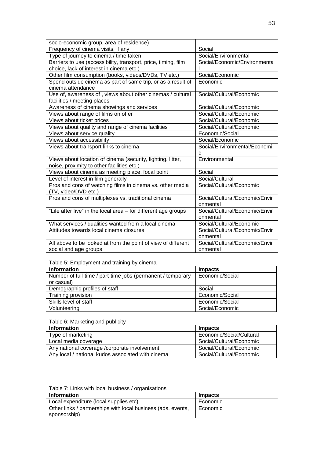| socio-economic group, area of residence)                       |                                |
|----------------------------------------------------------------|--------------------------------|
| Frequency of cinema visits, if any                             | Social                         |
| Type of journey to cinema / time taken                         | Social/Environmental           |
| Barriers to use (accessibility, transport, price, timing, film | Social/Economic/Environmenta   |
| choice, lack of interest in cinema etc.)                       |                                |
| Other film consumption (books, videos/DVDs, TV etc.)           | Social/Economic                |
| Spend outside cinema as part of same trip, or as a result of   | Economic                       |
| cinema attendance                                              |                                |
| Use of, awareness of, views about other cinemas / cultural     | Social/Cultural/Economic       |
| facilities / meeting places                                    |                                |
| Awareness of cinema showings and services                      | Social/Cultural/Economic       |
| Views about range of films on offer                            | Social/Cultural/Economic       |
| Views about ticket prices                                      | Social/Cultural/Economic       |
| Views about quality and range of cinema facilities             | Social/Cultural/Economic       |
| Views about service quality                                    | Economic/Social                |
| Views about accessibility                                      | Social/Economic                |
| Views about transport links to cinema                          | Social/Environmental/Economi   |
|                                                                | C                              |
| Views about location of cinema (security, lighting, litter,    | Environmental                  |
| noise, proximity to other facilities etc.)                     |                                |
| Views about cinema as meeting place, focal point               | Social                         |
| Level of interest in film generally                            | Social/Cultural                |
| Pros and cons of watching films in cinema vs. other media      | Social/Cultural/Economic       |
| (TV, video/DVD etc.)                                           |                                |
| Pros and cons of multiplexes vs. traditional cinema            | Social/Cultural/Economic/Envir |
|                                                                | onmental                       |
| "Life after five" in the local area - for different age groups | Social/Cultural/Economic/Envir |
|                                                                | onmental                       |
| What services / qualities wanted from a local cinema           | Social/Cultural/Economic       |
| Attitudes towards local cinema closures                        | Social/Cultural/Economic/Envir |
|                                                                | onmental                       |
| All above to be looked at from the point of view of different  | Social/Cultural/Economic/Envir |
| social and age groups                                          | onmental                       |

Table 5: Employment and training by cinema

| <b>Information</b>                                          | <b>Impacts</b>  |
|-------------------------------------------------------------|-----------------|
| Number of full-time / part-time jobs (permanent / temporary | Economic/Social |
| or casual)                                                  |                 |
| Demographic profiles of staff                               | Social          |
| Training provision                                          | Economic/Social |
| Skills level of staff                                       | Economic/Social |
| Volunteering                                                | Social/Economic |

#### Table 6: Marketing and publicity

| <b>Information</b>                                | <b>Impacts</b>           |
|---------------------------------------------------|--------------------------|
| Type of marketing                                 | Economic/Social/Cultural |
| Local media coverage                              | Social/Cultural/Economic |
| Any national coverage /corporate involvement      | Social/Cultural/Economic |
| Any local / national kudos associated with cinema | Social/Cultural/Economic |

| Table 7: Links with local business / organisations |  |  |  |  |  |  |
|----------------------------------------------------|--|--|--|--|--|--|
|----------------------------------------------------|--|--|--|--|--|--|

| l Information                                                | <b>Impacts</b> |  |  |  |
|--------------------------------------------------------------|----------------|--|--|--|
| Local expenditure (local supplies etc)                       | Economic       |  |  |  |
| Other links / partnerships with local business (ads, events, | Economic       |  |  |  |
| sponsorship)                                                 |                |  |  |  |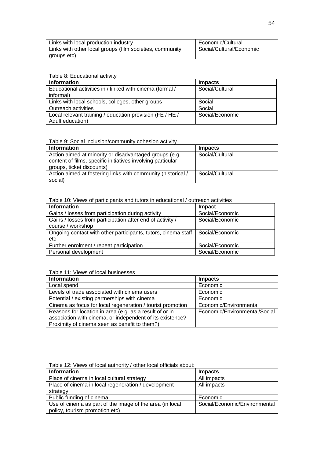| Links with local production industry                     | Economic/Cultural        |
|----------------------------------------------------------|--------------------------|
| Links with other local groups (film societies, community | Social/Cultural/Economic |
| groups etc)                                              |                          |

Table 8: Educational activity

| <b>Information</b>                                       | <b>Impacts</b>  |
|----------------------------------------------------------|-----------------|
| Educational activities in / linked with cinema (formal / | Social/Cultural |
| informal)                                                |                 |
| Links with local schools, colleges, other groups         | Social          |
| Outreach activities                                      | Social          |
| Local relevant training / education provision (FE / HE / | Social/Economic |
| Adult education)                                         |                 |

Table 9: Social inclusion/community cohesion activity

| <b>Information</b>                                           | Impacts         |
|--------------------------------------------------------------|-----------------|
| Action aimed at minority or disadvantaged groups (e.g.       | Social/Cultural |
| content of films, specific initiatives involving particular  |                 |
| groups, ticket discounts)                                    |                 |
| Action aimed at fostering links with community (historical / | Social/Cultural |
| social)                                                      |                 |

Table 10: Views of participants and tutors in educational / outreach activities

| <b>Information</b>                                            | Impact          |
|---------------------------------------------------------------|-----------------|
| Gains / losses from participation during activity             | Social/Economic |
| Gains / losses from participation after end of activity /     | Social/Economic |
| course / workshop                                             |                 |
| Ongoing contact with other participants, tutors, cinema staff | Social/Economic |
| etc                                                           |                 |
| Further enrolment / repeat participation                      | Social/Economic |
| Personal development                                          | Social/Economic |

Table 11: Views of local businesses

| <b>Information</b>                                         | <b>Impacts</b>                |
|------------------------------------------------------------|-------------------------------|
| Local spend                                                | Economic                      |
| Levels of trade associated with cinema users               | Economic                      |
| Potential / existing partnerships with cinema              | Economic                      |
| Cinema as focus for local regeneration / tourist promotion | Economic/Environmental        |
| Reasons for location in area (e.g. as a result of or in    | Economic/Environmental/Social |
| association with cinema, or independent of its existence?  |                               |
| Proximity of cinema seen as benefit to them?)              |                               |

Table 12: Views of local authority / other local officials about:

| <b>Information</b>                                       | <b>Impacts</b>                |
|----------------------------------------------------------|-------------------------------|
| Place of cinema in local cultural strategy               | All impacts                   |
| Place of cinema in local regeneration / development      | All impacts                   |
| strategy                                                 |                               |
| Public funding of cinema                                 | Economic                      |
| Use of cinema as part of the image of the area (in local | Social/Economic/Environmental |
| policy, tourism promotion etc)                           |                               |